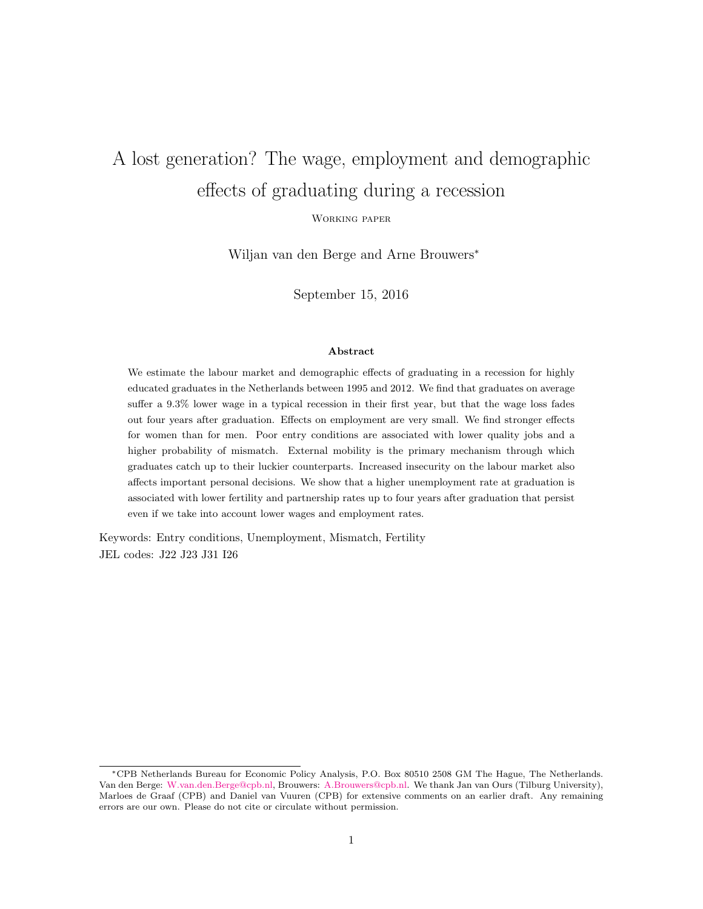# A lost generation? The wage, employment and demographic effects of graduating during a recession

Working paper

Wiljan van den Berge and Arne Brouwers<sup>∗</sup>

September 15, 2016

#### Abstract

We estimate the labour market and demographic effects of graduating in a recession for highly educated graduates in the Netherlands between 1995 and 2012. We find that graduates on average suffer a 9.3% lower wage in a typical recession in their first year, but that the wage loss fades out four years after graduation. Effects on employment are very small. We find stronger effects for women than for men. Poor entry conditions are associated with lower quality jobs and a higher probability of mismatch. External mobility is the primary mechanism through which graduates catch up to their luckier counterparts. Increased insecurity on the labour market also affects important personal decisions. We show that a higher unemployment rate at graduation is associated with lower fertility and partnership rates up to four years after graduation that persist even if we take into account lower wages and employment rates.

Keywords: Entry conditions, Unemployment, Mismatch, Fertility JEL codes: J22 J23 J31 I26

<sup>∗</sup>CPB Netherlands Bureau for Economic Policy Analysis, P.O. Box 80510 2508 GM The Hague, The Netherlands. Van den Berge: [W.van.den.Berge@cpb.nl,](mailto:w.van.den.berge@cpb.nl) Brouwers: [A.Brouwers@cpb.nl.](mailto:a.brouwers@cpb.nl) We thank Jan van Ours (Tilburg University), Marloes de Graaf (CPB) and Daniel van Vuuren (CPB) for extensive comments on an earlier draft. Any remaining errors are our own. Please do not cite or circulate without permission.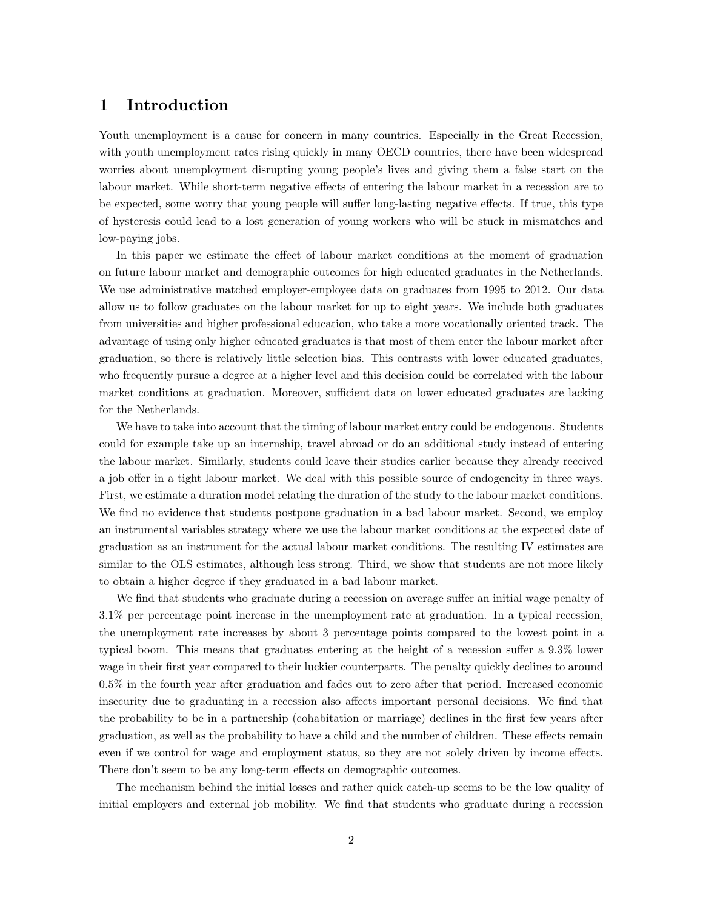## 1 Introduction

Youth unemployment is a cause for concern in many countries. Especially in the Great Recession, with youth unemployment rates rising quickly in many OECD countries, there have been widespread worries about unemployment disrupting young people's lives and giving them a false start on the labour market. While short-term negative effects of entering the labour market in a recession are to be expected, some worry that young people will suffer long-lasting negative effects. If true, this type of hysteresis could lead to a lost generation of young workers who will be stuck in mismatches and low-paying jobs.

In this paper we estimate the effect of labour market conditions at the moment of graduation on future labour market and demographic outcomes for high educated graduates in the Netherlands. We use administrative matched employer-employee data on graduates from 1995 to 2012. Our data allow us to follow graduates on the labour market for up to eight years. We include both graduates from universities and higher professional education, who take a more vocationally oriented track. The advantage of using only higher educated graduates is that most of them enter the labour market after graduation, so there is relatively little selection bias. This contrasts with lower educated graduates, who frequently pursue a degree at a higher level and this decision could be correlated with the labour market conditions at graduation. Moreover, sufficient data on lower educated graduates are lacking for the Netherlands.

We have to take into account that the timing of labour market entry could be endogenous. Students could for example take up an internship, travel abroad or do an additional study instead of entering the labour market. Similarly, students could leave their studies earlier because they already received a job offer in a tight labour market. We deal with this possible source of endogeneity in three ways. First, we estimate a duration model relating the duration of the study to the labour market conditions. We find no evidence that students postpone graduation in a bad labour market. Second, we employ an instrumental variables strategy where we use the labour market conditions at the expected date of graduation as an instrument for the actual labour market conditions. The resulting IV estimates are similar to the OLS estimates, although less strong. Third, we show that students are not more likely to obtain a higher degree if they graduated in a bad labour market.

We find that students who graduate during a recession on average suffer an initial wage penalty of 3.1% per percentage point increase in the unemployment rate at graduation. In a typical recession, the unemployment rate increases by about 3 percentage points compared to the lowest point in a typical boom. This means that graduates entering at the height of a recession suffer a 9.3% lower wage in their first year compared to their luckier counterparts. The penalty quickly declines to around 0.5% in the fourth year after graduation and fades out to zero after that period. Increased economic insecurity due to graduating in a recession also affects important personal decisions. We find that the probability to be in a partnership (cohabitation or marriage) declines in the first few years after graduation, as well as the probability to have a child and the number of children. These effects remain even if we control for wage and employment status, so they are not solely driven by income effects. There don't seem to be any long-term effects on demographic outcomes.

The mechanism behind the initial losses and rather quick catch-up seems to be the low quality of initial employers and external job mobility. We find that students who graduate during a recession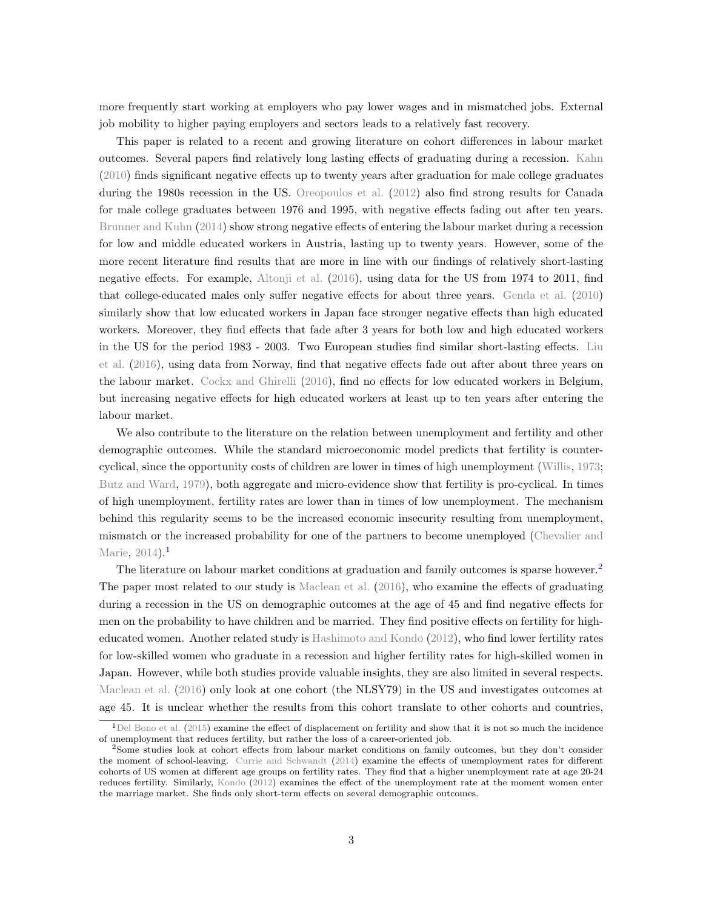more frequently start working at employers who pay lower wages and in mismatched jobs. External job mobility to higher paying employers and sectors leads to a relatively fast recovery.

This paper is related to a recent and growing literature on cohort differences in labour market outcomes. Several papers find relatively long lasting effects of graduating during a recession. [Kahn](#page-23-0) [\(2010\)](#page-23-0) finds significant negative effects up to twenty years after graduation for male college graduates during the 1980s recession in the US. [Oreopoulos et al.](#page-23-1) [\(2012\)](#page-23-1) also find strong results for Canada for male college graduates between 1976 and 1995, with negative effects fading out after ten years. [Brunner and Kuhn](#page-22-0) [\(2014\)](#page-22-0) show strong negative effects of entering the labour market during a recession for low and middle educated workers in Austria, lasting up to twenty years. However, some of the more recent literature find results that are more in line with our findings of relatively short-lasting negative effects. For example, [Altonji et al.](#page-22-1) [\(2016\)](#page-22-1), using data for the US from 1974 to 2011, find that college-educated males only suffer negative effects for about three years. [Genda et al.](#page-23-2) [\(2010\)](#page-23-2) similarly show that low educated workers in Japan face stronger negative effects than high educated workers. Moreover, they find effects that fade after 3 years for both low and high educated workers in the US for the period 1983 - 2003. Two European studies find similar short-lasting effects. [Liu](#page-23-3) [et al.](#page-23-3) [\(2016\)](#page-23-3), using data from Norway, find that negative effects fade out after about three years on the labour market. [Cockx and Ghirelli](#page-22-2) [\(2016\)](#page-22-2), find no effects for low educated workers in Belgium, but increasing negative effects for high educated workers at least up to ten years after entering the labour market.

We also contribute to the literature on the relation between unemployment and fertility and other demographic outcomes. While the standard microeconomic model predicts that fertility is countercyclical, since the opportunity costs of children are lower in times of high unemployment [\(Willis,](#page-23-4) [1973;](#page-23-4) [Butz and Ward,](#page-22-3) [1979\)](#page-22-3), both aggregate and micro-evidence show that fertility is pro-cyclical. In times of high unemployment, fertility rates are lower than in times of low unemployment. The mechanism behind this regularity seems to be the increased economic insecurity resulting from unemployment, mismatch or the increased probability for one of the partners to become unemployed [\(Chevalier and](#page-22-4) [Marie,](#page-22-4)  $2014$  $2014$  $2014$ ).

The literature on labour market conditions at graduation and family outcomes is sparse however.<sup>[2](#page-2-1)</sup> The paper most related to our study is [Maclean et al.](#page-23-5) [\(2016\)](#page-23-5), who examine the effects of graduating during a recession in the US on demographic outcomes at the age of 45 and find negative effects for men on the probability to have children and be married. They find positive effects on fertility for higheducated women. Another related study is [Hashimoto and Kondo](#page-23-6) [\(2012\)](#page-23-6), who find lower fertility rates for low-skilled women who graduate in a recession and higher fertility rates for high-skilled women in Japan. However, while both studies provide valuable insights, they are also limited in several respects. [Maclean et al.](#page-23-5) [\(2016\)](#page-23-5) only look at one cohort (the NLSY79) in the US and investigates outcomes at age 45. It is unclear whether the results from this cohort translate to other cohorts and countries,

<span id="page-2-0"></span> $1$ [Del Bono et al.](#page-23-7) [\(2015\)](#page-23-7) examine the effect of displacement on fertility and show that it is not so much the incidence of unemployment that reduces fertility, but rather the loss of a career-oriented job.

<span id="page-2-1"></span><sup>2</sup>Some studies look at cohort effects from labour market conditions on family outcomes, but they don't consider the moment of school-leaving. [Currie and Schwandt](#page-22-5) [\(2014\)](#page-22-5) examine the effects of unemployment rates for different cohorts of US women at different age groups on fertility rates. They find that a higher unemployment rate at age 20-24 reduces fertility. Similarly, [Kondo](#page-23-8) [\(2012\)](#page-23-8) examines the effect of the unemployment rate at the moment women enter the marriage market. She finds only short-term effects on several demographic outcomes.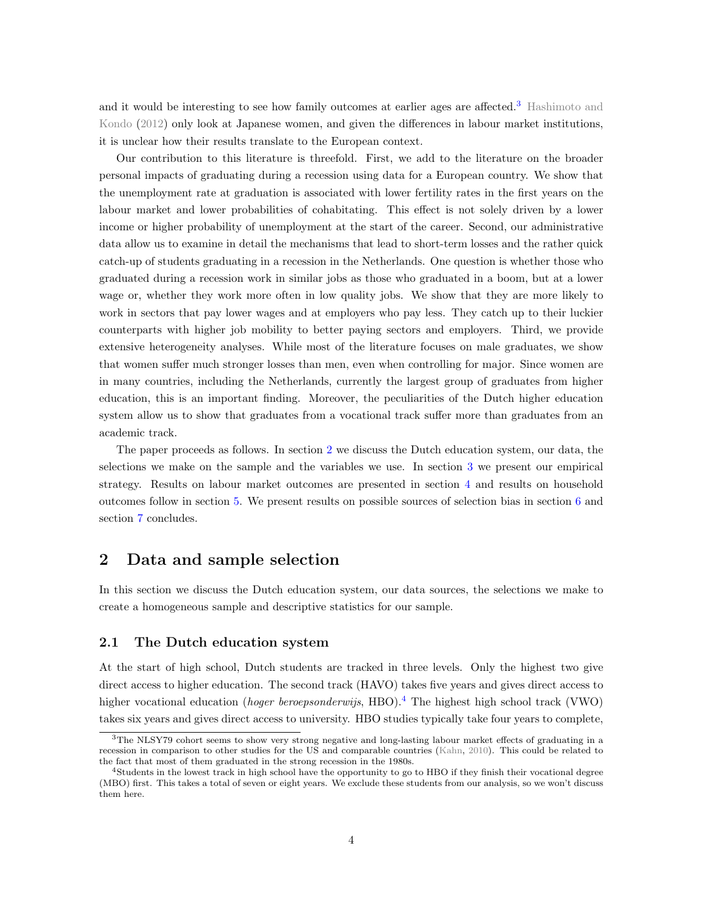and it would be interesting to see how family outcomes at earlier ages are affected.[3](#page-3-0) [Hashimoto and](#page-23-6) [Kondo](#page-23-6) [\(2012\)](#page-23-6) only look at Japanese women, and given the differences in labour market institutions, it is unclear how their results translate to the European context.

Our contribution to this literature is threefold. First, we add to the literature on the broader personal impacts of graduating during a recession using data for a European country. We show that the unemployment rate at graduation is associated with lower fertility rates in the first years on the labour market and lower probabilities of cohabitating. This effect is not solely driven by a lower income or higher probability of unemployment at the start of the career. Second, our administrative data allow us to examine in detail the mechanisms that lead to short-term losses and the rather quick catch-up of students graduating in a recession in the Netherlands. One question is whether those who graduated during a recession work in similar jobs as those who graduated in a boom, but at a lower wage or, whether they work more often in low quality jobs. We show that they are more likely to work in sectors that pay lower wages and at employers who pay less. They catch up to their luckier counterparts with higher job mobility to better paying sectors and employers. Third, we provide extensive heterogeneity analyses. While most of the literature focuses on male graduates, we show that women suffer much stronger losses than men, even when controlling for major. Since women are in many countries, including the Netherlands, currently the largest group of graduates from higher education, this is an important finding. Moreover, the peculiarities of the Dutch higher education system allow us to show that graduates from a vocational track suffer more than graduates from an academic track.

The paper proceeds as follows. In section [2](#page-3-1) we discuss the Dutch education system, our data, the selections we make on the sample and the variables we use. In section [3](#page-5-0) we present our empirical strategy. Results on labour market outcomes are presented in section [4](#page-8-0) and results on household outcomes follow in section [5.](#page-13-0) We present results on possible sources of selection bias in section [6](#page-19-0) and section [7](#page-21-0) concludes.

## <span id="page-3-1"></span>2 Data and sample selection

In this section we discuss the Dutch education system, our data sources, the selections we make to create a homogeneous sample and descriptive statistics for our sample.

#### 2.1 The Dutch education system

At the start of high school, Dutch students are tracked in three levels. Only the highest two give direct access to higher education. The second track (HAVO) takes five years and gives direct access to higher vocational education (hoger beroepsonderwijs, HBO).<sup>[4](#page-3-2)</sup> The highest high school track (VWO) takes six years and gives direct access to university. HBO studies typically take four years to complete,

<span id="page-3-0"></span><sup>3</sup>The NLSY79 cohort seems to show very strong negative and long-lasting labour market effects of graduating in a recession in comparison to other studies for the US and comparable countries [\(Kahn,](#page-23-0) [2010\)](#page-23-0). This could be related to the fact that most of them graduated in the strong recession in the 1980s.

<span id="page-3-2"></span><sup>4</sup>Students in the lowest track in high school have the opportunity to go to HBO if they finish their vocational degree (MBO) first. This takes a total of seven or eight years. We exclude these students from our analysis, so we won't discuss them here.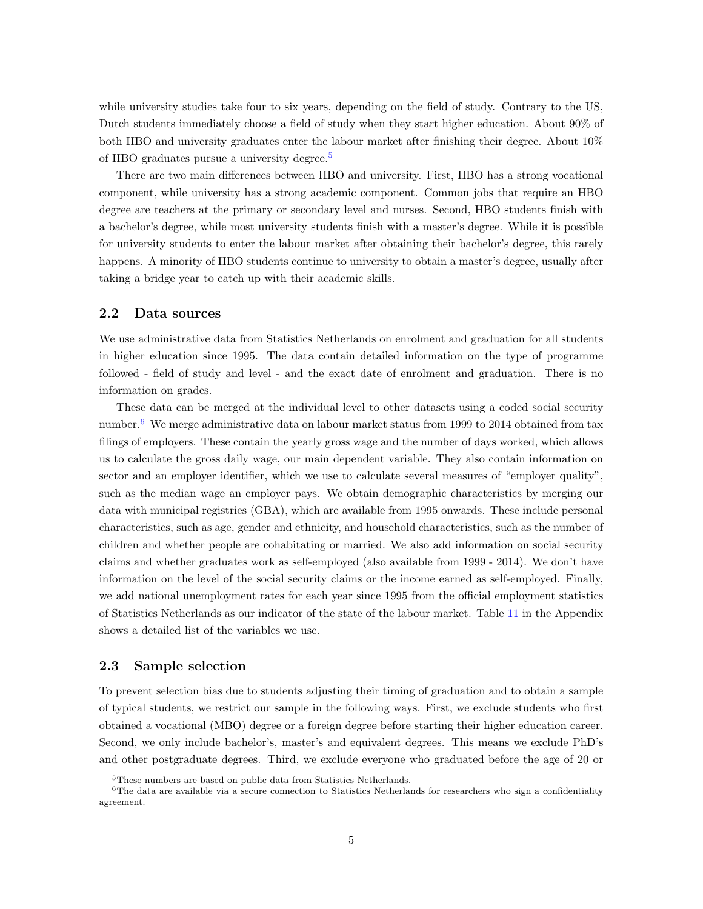while university studies take four to six years, depending on the field of study. Contrary to the US, Dutch students immediately choose a field of study when they start higher education. About 90% of both HBO and university graduates enter the labour market after finishing their degree. About 10% of HBO graduates pursue a university degree.[5](#page-4-0)

There are two main differences between HBO and university. First, HBO has a strong vocational component, while university has a strong academic component. Common jobs that require an HBO degree are teachers at the primary or secondary level and nurses. Second, HBO students finish with a bachelor's degree, while most university students finish with a master's degree. While it is possible for university students to enter the labour market after obtaining their bachelor's degree, this rarely happens. A minority of HBO students continue to university to obtain a master's degree, usually after taking a bridge year to catch up with their academic skills.

#### 2.2 Data sources

We use administrative data from Statistics Netherlands on enrolment and graduation for all students in higher education since 1995. The data contain detailed information on the type of programme followed - field of study and level - and the exact date of enrolment and graduation. There is no information on grades.

These data can be merged at the individual level to other datasets using a coded social security number.<sup>[6](#page-4-1)</sup> We merge administrative data on labour market status from 1999 to 2014 obtained from tax filings of employers. These contain the yearly gross wage and the number of days worked, which allows us to calculate the gross daily wage, our main dependent variable. They also contain information on sector and an employer identifier, which we use to calculate several measures of "employer quality", such as the median wage an employer pays. We obtain demographic characteristics by merging our data with municipal registries (GBA), which are available from 1995 onwards. These include personal characteristics, such as age, gender and ethnicity, and household characteristics, such as the number of children and whether people are cohabitating or married. We also add information on social security claims and whether graduates work as self-employed (also available from 1999 - 2014). We don't have information on the level of the social security claims or the income earned as self-employed. Finally, we add national unemployment rates for each year since 1995 from the official employment statistics of Statistics Netherlands as our indicator of the state of the labour market. Table [11](#page-30-0) in the Appendix shows a detailed list of the variables we use.

#### <span id="page-4-2"></span>2.3 Sample selection

To prevent selection bias due to students adjusting their timing of graduation and to obtain a sample of typical students, we restrict our sample in the following ways. First, we exclude students who first obtained a vocational (MBO) degree or a foreign degree before starting their higher education career. Second, we only include bachelor's, master's and equivalent degrees. This means we exclude PhD's and other postgraduate degrees. Third, we exclude everyone who graduated before the age of 20 or

<span id="page-4-1"></span><span id="page-4-0"></span><sup>5</sup>These numbers are based on public data from Statistics Netherlands.

 $6$ The data are available via a secure connection to Statistics Netherlands for researchers who sign a confidentiality agreement.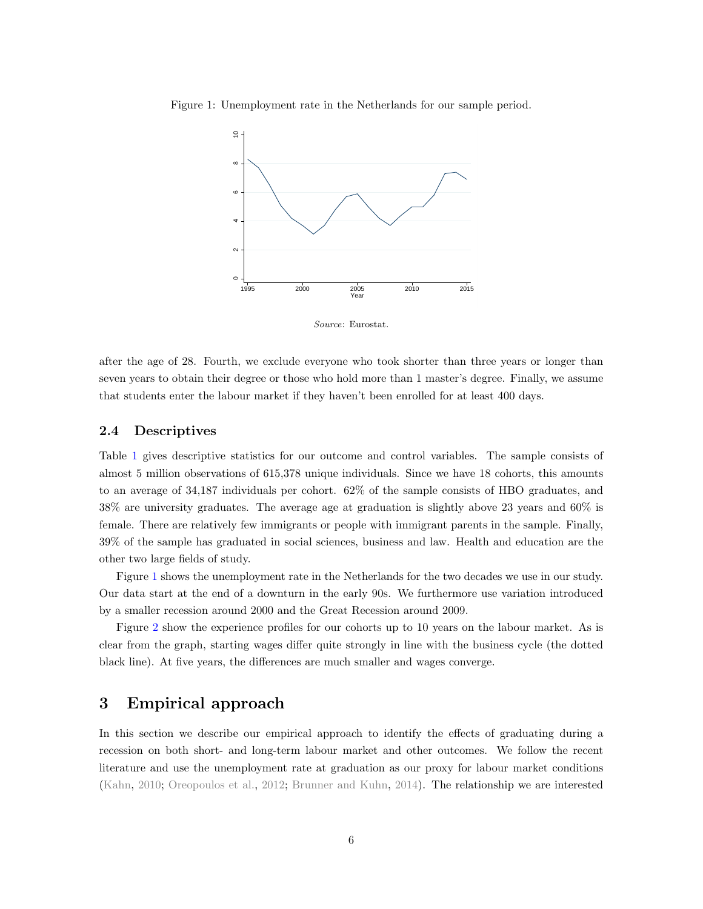<span id="page-5-1"></span>Figure 1: Unemployment rate in the Netherlands for our sample period.



Source: Eurostat.

after the age of 28. Fourth, we exclude everyone who took shorter than three years or longer than seven years to obtain their degree or those who hold more than 1 master's degree. Finally, we assume that students enter the labour market if they haven't been enrolled for at least 400 days.

#### 2.4 Descriptives

Table [1](#page-6-0) gives descriptive statistics for our outcome and control variables. The sample consists of almost 5 million observations of 615,378 unique individuals. Since we have 18 cohorts, this amounts to an average of 34,187 individuals per cohort. 62% of the sample consists of HBO graduates, and 38% are university graduates. The average age at graduation is slightly above 23 years and 60% is female. There are relatively few immigrants or people with immigrant parents in the sample. Finally, 39% of the sample has graduated in social sciences, business and law. Health and education are the other two large fields of study.

Figure [1](#page-5-1) shows the unemployment rate in the Netherlands for the two decades we use in our study. Our data start at the end of a downturn in the early 90s. We furthermore use variation introduced by a smaller recession around 2000 and the Great Recession around 2009.

Figure [2](#page-7-0) show the experience profiles for our cohorts up to 10 years on the labour market. As is clear from the graph, starting wages differ quite strongly in line with the business cycle (the dotted black line). At five years, the differences are much smaller and wages converge.

## <span id="page-5-0"></span>3 Empirical approach

In this section we describe our empirical approach to identify the effects of graduating during a recession on both short- and long-term labour market and other outcomes. We follow the recent literature and use the unemployment rate at graduation as our proxy for labour market conditions [\(Kahn,](#page-23-0) [2010;](#page-23-0) [Oreopoulos et al.,](#page-23-1) [2012;](#page-23-1) [Brunner and Kuhn,](#page-22-0) [2014\)](#page-22-0). The relationship we are interested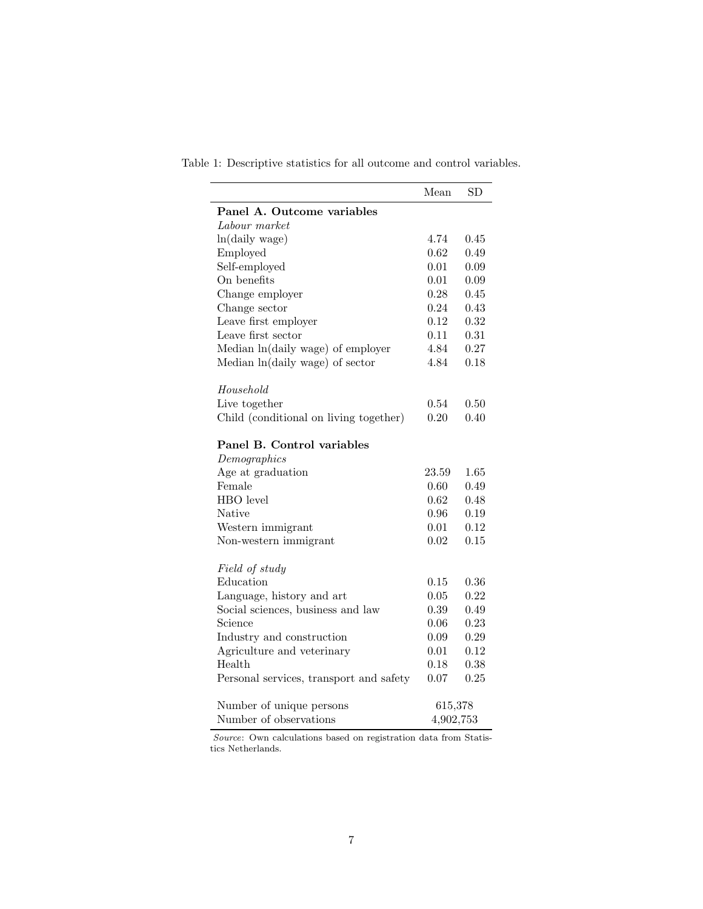|                                            | Mean      | SD       |
|--------------------------------------------|-----------|----------|
| Panel A. Outcome variables                 |           |          |
| Labour market                              |           |          |
| ln(daily wage)                             | 4.74      | 0.45     |
| Employed                                   | 0.62      | 0.49     |
| Self-employed                              | 0.01      | 0.09     |
| On benefits                                | 0.01      | 0.09     |
| Change employer                            | 0.28      | 0.45     |
| Change sector                              | 0.24      | 0.43     |
| Leave first employer                       | 0.12      | 0.32     |
| Leave first sector                         | 0.11      | 0.31     |
| Median ln(daily wage) of employer          | 4.84      | 0.27     |
| Median ln(daily wage) of sector            | 4.84      | 0.18     |
| Household                                  |           |          |
| Live together                              | 0.54      | 0.50     |
| Child (conditional on living together)     | 0.20      | 0.40     |
| Panel B. Control variables<br>Demographics |           |          |
| Age at graduation                          | 23.59     | $1.65\,$ |
| Female                                     | 0.60      | 0.49     |
| HBO level                                  | 0.62      | 0.48     |
| Native                                     | 0.96      | 0.19     |
| Western immigrant                          | 0.01      | 0.12     |
| Non-western immigrant                      | 0.02      | 0.15     |
| Field of study                             |           |          |
| Education                                  | 0.15      | 0.36     |
| Language, history and art                  | 0.05      | 0.22     |
| Social sciences, business and law          | 0.39      | 0.49     |
| Science                                    | 0.06      | 0.23     |
| Industry and construction                  | 0.09      | 0.29     |
| Agriculture and veterinary                 | 0.01      | 0.12     |
| Health                                     | 0.18      | 0.38     |
| Personal services, transport and safety    | 0.07      | 0.25     |
| Number of unique persons                   | 615,378   |          |
| Number of observations                     | 4,902,753 |          |

<span id="page-6-0"></span>Table 1: Descriptive statistics for all outcome and control variables.

Source: Own calculations based on registration data from Statistics Netherlands.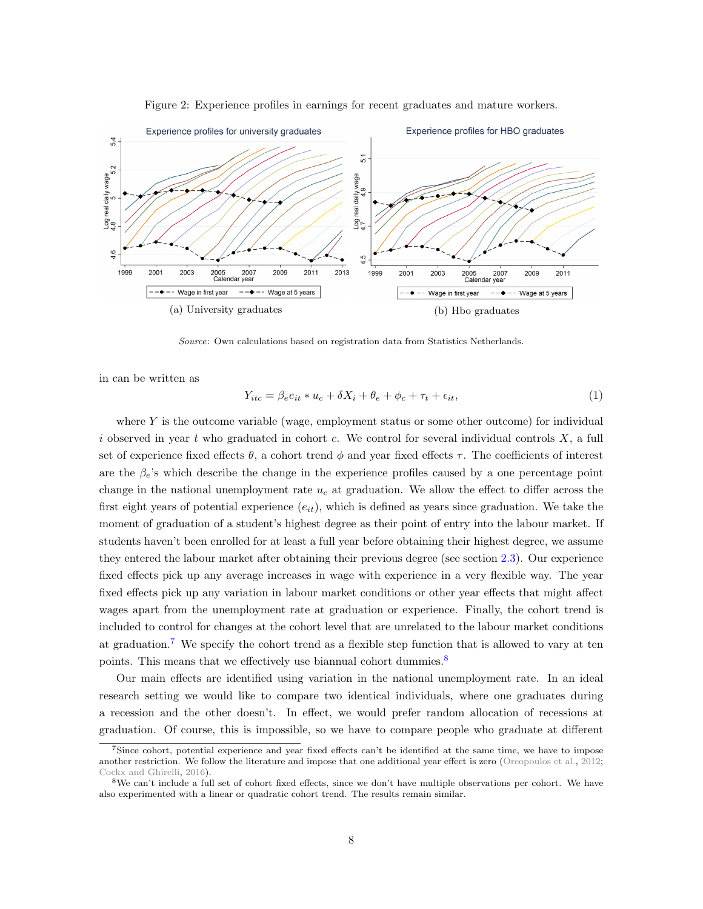<span id="page-7-0"></span>

Figure 2: Experience profiles in earnings for recent graduates and mature workers.

Source: Own calculations based on registration data from Statistics Netherlands.

in can be written as

<span id="page-7-3"></span>
$$
Y_{itc} = \beta_e e_{it} * u_c + \delta X_i + \theta_e + \phi_c + \tau_t + \epsilon_{it},\tag{1}
$$

where  $Y$  is the outcome variable (wage, employment status or some other outcome) for individual i observed in year t who graduated in cohort c. We control for several individual controls  $X$ , a full set of experience fixed effects  $\theta$ , a cohort trend  $\phi$  and year fixed effects  $\tau$ . The coefficients of interest are the  $\beta_e$ 's which describe the change in the experience profiles caused by a one percentage point change in the national unemployment rate  $u_c$  at graduation. We allow the effect to differ across the first eight years of potential experience  $(e_{it})$ , which is defined as years since graduation. We take the moment of graduation of a student's highest degree as their point of entry into the labour market. If students haven't been enrolled for at least a full year before obtaining their highest degree, we assume they entered the labour market after obtaining their previous degree (see section [2.3\)](#page-4-2). Our experience fixed effects pick up any average increases in wage with experience in a very flexible way. The year fixed effects pick up any variation in labour market conditions or other year effects that might affect wages apart from the unemployment rate at graduation or experience. Finally, the cohort trend is included to control for changes at the cohort level that are unrelated to the labour market conditions at graduation.[7](#page-7-1) We specify the cohort trend as a flexible step function that is allowed to vary at ten points. This means that we effectively use biannual cohort dummies.<sup>[8](#page-7-2)</sup>

Our main effects are identified using variation in the national unemployment rate. In an ideal research setting we would like to compare two identical individuals, where one graduates during a recession and the other doesn't. In effect, we would prefer random allocation of recessions at graduation. Of course, this is impossible, so we have to compare people who graduate at different

<span id="page-7-1"></span><sup>7</sup>Since cohort, potential experience and year fixed effects can't be identified at the same time, we have to impose another restriction. We follow the literature and impose that one additional year effect is zero [\(Oreopoulos et al.,](#page-23-1) [2012;](#page-23-1) [Cockx and Ghirelli,](#page-22-2) [2016\)](#page-22-2).

<span id="page-7-2"></span><sup>8</sup>We can't include a full set of cohort fixed effects, since we don't have multiple observations per cohort. We have also experimented with a linear or quadratic cohort trend. The results remain similar.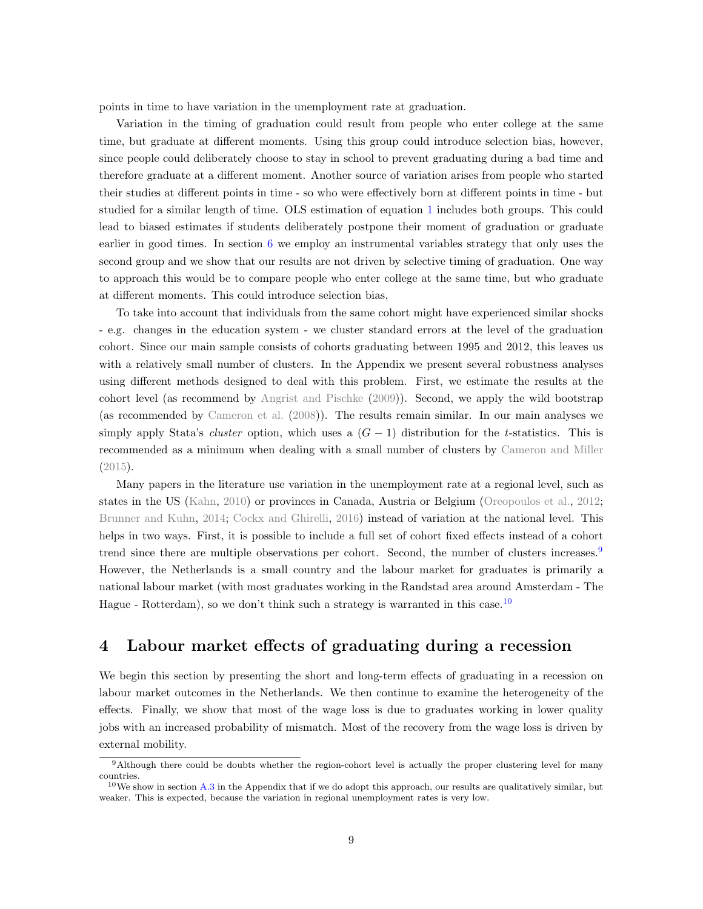points in time to have variation in the unemployment rate at graduation.

Variation in the timing of graduation could result from people who enter college at the same time, but graduate at different moments. Using this group could introduce selection bias, however, since people could deliberately choose to stay in school to prevent graduating during a bad time and therefore graduate at a different moment. Another source of variation arises from people who started their studies at different points in time - so who were effectively born at different points in time - but studied for a similar length of time. OLS estimation of equation [1](#page-7-3) includes both groups. This could lead to biased estimates if students deliberately postpone their moment of graduation or graduate earlier in good times. In section [6](#page-19-0) we employ an instrumental variables strategy that only uses the second group and we show that our results are not driven by selective timing of graduation. One way to approach this would be to compare people who enter college at the same time, but who graduate at different moments. This could introduce selection bias,

To take into account that individuals from the same cohort might have experienced similar shocks - e.g. changes in the education system - we cluster standard errors at the level of the graduation cohort. Since our main sample consists of cohorts graduating between 1995 and 2012, this leaves us with a relatively small number of clusters. In the Appendix we present several robustness analyses using different methods designed to deal with this problem. First, we estimate the results at the cohort level (as recommend by [Angrist and Pischke](#page-22-6) [\(2009\)](#page-22-6)). Second, we apply the wild bootstrap (as recommended by [Cameron et al.](#page-22-7) [\(2008\)](#page-22-7)). The results remain similar. In our main analyses we simply apply Stata's *cluster* option, which uses a  $(G - 1)$  distribution for the t-statistics. This is recommended as a minimum when dealing with a small number of clusters by [Cameron and Miller](#page-22-8) [\(2015\)](#page-22-8).

Many papers in the literature use variation in the unemployment rate at a regional level, such as states in the US [\(Kahn,](#page-23-0) [2010\)](#page-23-0) or provinces in Canada, Austria or Belgium [\(Oreopoulos et al.,](#page-23-1) [2012;](#page-23-1) [Brunner and Kuhn,](#page-22-0) [2014;](#page-22-0) [Cockx and Ghirelli,](#page-22-2) [2016\)](#page-22-2) instead of variation at the national level. This helps in two ways. First, it is possible to include a full set of cohort fixed effects instead of a cohort trend since there are multiple observations per cohort. Second, the number of clusters increases.<sup>[9](#page-8-1)</sup> However, the Netherlands is a small country and the labour market for graduates is primarily a national labour market (with most graduates working in the Randstad area around Amsterdam - The Hague - Rotterdam), so we don't think such a strategy is warranted in this case.<sup>[10](#page-8-2)</sup>

## <span id="page-8-0"></span>4 Labour market effects of graduating during a recession

We begin this section by presenting the short and long-term effects of graduating in a recession on labour market outcomes in the Netherlands. We then continue to examine the heterogeneity of the effects. Finally, we show that most of the wage loss is due to graduates working in lower quality jobs with an increased probability of mismatch. Most of the recovery from the wage loss is driven by external mobility.

<span id="page-8-1"></span><sup>9</sup>Although there could be doubts whether the region-cohort level is actually the proper clustering level for many countries.

<span id="page-8-2"></span> $10$ We show in section [A.3](#page-26-0) in the Appendix that if we do adopt this approach, our results are qualitatively similar, but weaker. This is expected, because the variation in regional unemployment rates is very low.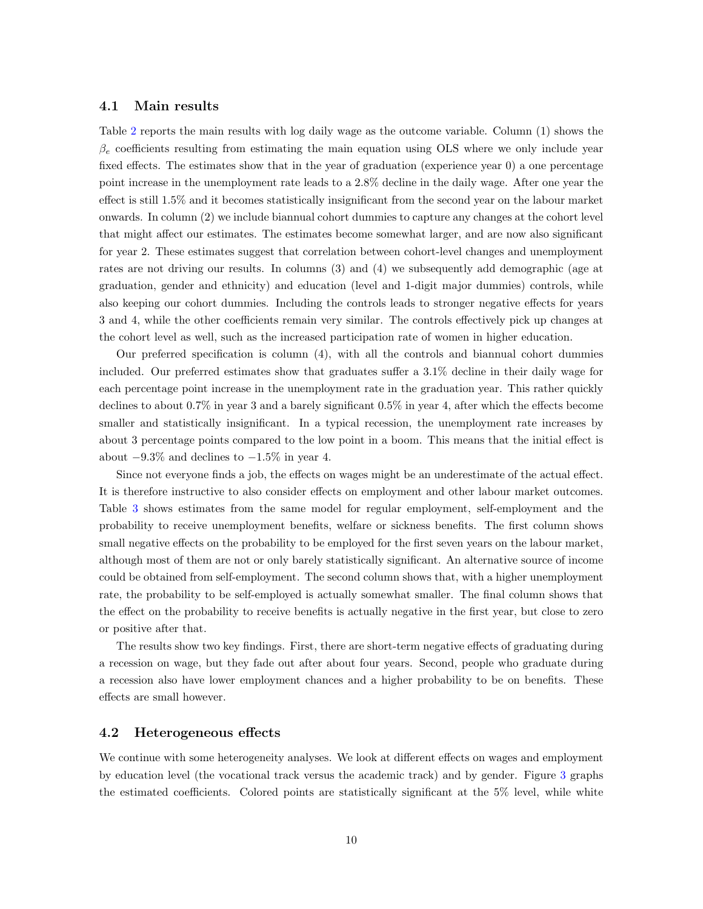#### 4.1 Main results

Table [2](#page-10-0) reports the main results with log daily wage as the outcome variable. Column (1) shows the  $\beta_e$  coefficients resulting from estimating the main equation using OLS where we only include year fixed effects. The estimates show that in the year of graduation (experience year 0) a one percentage point increase in the unemployment rate leads to a 2.8% decline in the daily wage. After one year the effect is still 1.5% and it becomes statistically insignificant from the second year on the labour market onwards. In column (2) we include biannual cohort dummies to capture any changes at the cohort level that might affect our estimates. The estimates become somewhat larger, and are now also significant for year 2. These estimates suggest that correlation between cohort-level changes and unemployment rates are not driving our results. In columns (3) and (4) we subsequently add demographic (age at graduation, gender and ethnicity) and education (level and 1-digit major dummies) controls, while also keeping our cohort dummies. Including the controls leads to stronger negative effects for years 3 and 4, while the other coefficients remain very similar. The controls effectively pick up changes at the cohort level as well, such as the increased participation rate of women in higher education.

Our preferred specification is column (4), with all the controls and biannual cohort dummies included. Our preferred estimates show that graduates suffer a 3.1% decline in their daily wage for each percentage point increase in the unemployment rate in the graduation year. This rather quickly declines to about 0.7% in year 3 and a barely significant 0.5% in year 4, after which the effects become smaller and statistically insignificant. In a typical recession, the unemployment rate increases by about 3 percentage points compared to the low point in a boom. This means that the initial effect is about  $-9.3\%$  and declines to  $-1.5\%$  in year 4.

Since not everyone finds a job, the effects on wages might be an underestimate of the actual effect. It is therefore instructive to also consider effects on employment and other labour market outcomes. Table [3](#page-10-1) shows estimates from the same model for regular employment, self-employment and the probability to receive unemployment benefits, welfare or sickness benefits. The first column shows small negative effects on the probability to be employed for the first seven years on the labour market, although most of them are not or only barely statistically significant. An alternative source of income could be obtained from self-employment. The second column shows that, with a higher unemployment rate, the probability to be self-employed is actually somewhat smaller. The final column shows that the effect on the probability to receive benefits is actually negative in the first year, but close to zero or positive after that.

The results show two key findings. First, there are short-term negative effects of graduating during a recession on wage, but they fade out after about four years. Second, people who graduate during a recession also have lower employment chances and a higher probability to be on benefits. These effects are small however.

#### 4.2 Heterogeneous effects

We continue with some heterogeneity analyses. We look at different effects on wages and employment by education level (the vocational track versus the academic track) and by gender. Figure [3](#page-11-0) graphs the estimated coefficients. Colored points are statistically significant at the 5% level, while white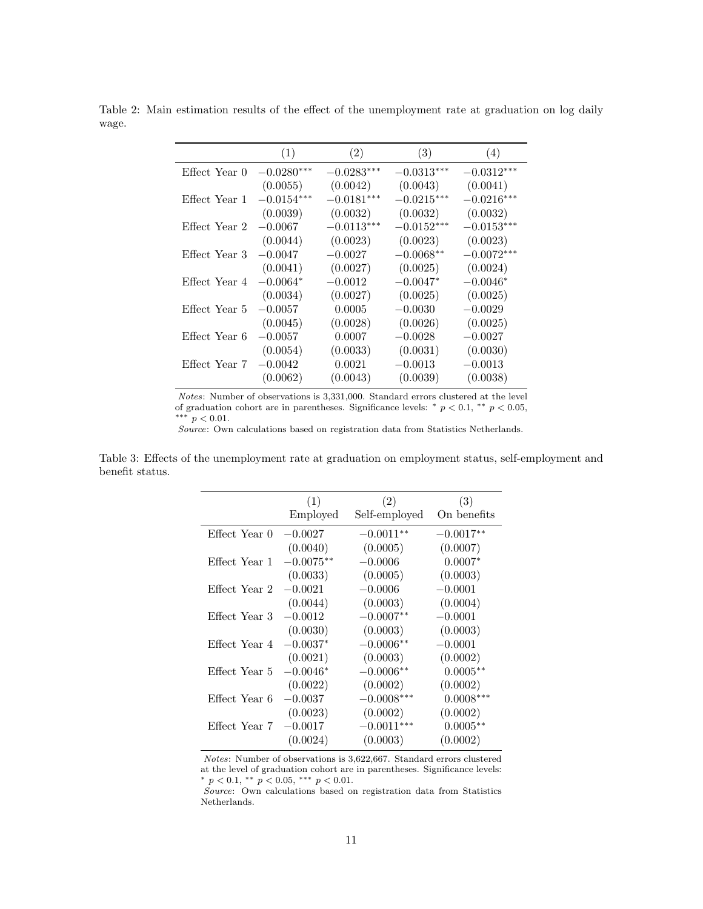<span id="page-10-0"></span>Table 2: Main estimation results of the effect of the unemployment rate at graduation on log daily wage.

|               | (1)          | (2)          | (3)          | (4)          |
|---------------|--------------|--------------|--------------|--------------|
| Effect Year 0 | $-0.0280***$ | $-0.0283***$ | $-0.0313***$ | $-0.0312***$ |
|               | (0.0055)     | (0.0042)     | (0.0043)     | (0.0041)     |
| Effect Year 1 | $-0.0154***$ | $-0.0181***$ | $-0.0215***$ | $-0.0216***$ |
|               | (0.0039)     | (0.0032)     | (0.0032)     | (0.0032)     |
| Effect Year 2 | $-0.0067$    | $-0.0113***$ | $-0.0152***$ | $-0.0153***$ |
|               | (0.0044)     | (0.0023)     | (0.0023)     | (0.0023)     |
| Effect Year 3 | $-0.0047$    | $-0.0027$    | $-0.0068**$  | $-0.0072***$ |
|               | (0.0041)     | (0.0027)     | (0.0025)     | (0.0024)     |
| Effect Year 4 | $-0.0064*$   | $-0.0012$    | $-0.0047*$   | $-0.0046*$   |
|               | (0.0034)     | (0.0027)     | (0.0025)     | (0.0025)     |
| Effect Year 5 | $-0.0057$    | 0.0005       | $-0.0030$    | $-0.0029$    |
|               | (0.0045)     | (0.0028)     | (0.0026)     | (0.0025)     |
| Effect Year 6 | $-0.0057$    | 0.0007       | $-0.0028$    | $-0.0027$    |
|               | (0.0054)     | (0.0033)     | (0.0031)     | (0.0030)     |
| Effect Year 7 | $-0.0042$    | 0.0021       | $-0.0013$    | $-0.0013$    |
|               | (0.0062)     | (0.0043)     | (0.0039)     | (0.0038)     |

Notes: Number of observations is 3,331,000. Standard errors clustered at the level of graduation cohort are in parentheses. Significance levels:  $*$   $p < 0.1$ ,  $**$   $p < 0.05$ , ∗∗∗ p < 0.01.

Source: Own calculations based on registration data from Statistics Netherlands.

<span id="page-10-1"></span>Table 3: Effects of the unemployment rate at graduation on employment status, self-employment and benefit status.

|               | (1)         | (2)           | (3)         |
|---------------|-------------|---------------|-------------|
|               | Employed    | Self-employed | On benefits |
| Effect Year 0 | $-0.0027$   | $-0.0011**$   | $-0.0017**$ |
|               | (0.0040)    | (0.0005)      | (0.0007)    |
| Effect Year 1 | $-0.0075**$ | $-0.0006$     | $0.0007*$   |
|               | (0.0033)    | (0.0005)      | (0.0003)    |
| Effect Year 2 | $-0.0021$   | $-0.0006$     | $-0.0001$   |
|               | (0.0044)    | (0.0003)      | (0.0004)    |
| Effect Year 3 | $-0.0012$   | $-0.0007**$   | $-0.0001$   |
|               | (0.0030)    | (0.0003)      | (0.0003)    |
| Effect Year 4 | $-0.0037*$  | $-0.0006**$   | $-0.0001$   |
|               | (0.0021)    | (0.0003)      | (0.0002)    |
| Effect Year 5 | $-0.0046*$  | $-0.0006**$   | $0.0005**$  |
|               | (0.0022)    | (0.0002)      | (0.0002)    |
| Effect Year 6 | $-0.0037$   | $-0.0008***$  | $0.0008***$ |
|               | (0.0023)    | (0.0002)      | (0.0002)    |
| Effect Year 7 | $-0.0017$   | $-0.0011***$  | $0.0005**$  |
|               | (0.0024)    | (0.0003)      | (0.0002)    |

Notes: Number of observations is 3,622,667. Standard errors clustered at the level of graduation cohort are in parentheses. Significance levels: \*  $p < 0.1$ , \*\*  $p < 0.05$ , \*\*\*  $p < 0.01$ .

Source: Own calculations based on registration data from Statistics Netherlands.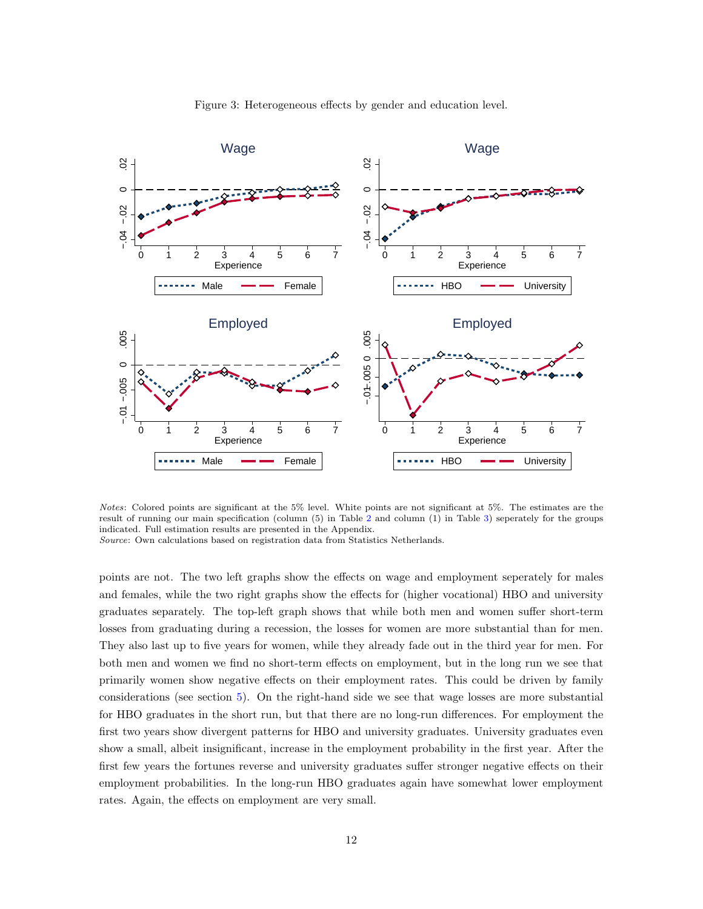<span id="page-11-0"></span>

Figure 3: Heterogeneous effects by gender and education level.

Notes: Colored points are significant at the 5% level. White points are not significant at 5%. The estimates are the result of running our main specification (column (5) in Table [2](#page-10-0) and column (1) in Table [3\)](#page-10-1) seperately for the groups indicated. Full estimation results are presented in the Appendix.

Source: Own calculations based on registration data from Statistics Netherlands.

points are not. The two left graphs show the effects on wage and employment seperately for males and females, while the two right graphs show the effects for (higher vocational) HBO and university graduates separately. The top-left graph shows that while both men and women suffer short-term losses from graduating during a recession, the losses for women are more substantial than for men. They also last up to five years for women, while they already fade out in the third year for men. For both men and women we find no short-term effects on employment, but in the long run we see that primarily women show negative effects on their employment rates. This could be driven by family considerations (see section [5\)](#page-13-0). On the right-hand side we see that wage losses are more substantial for HBO graduates in the short run, but that there are no long-run differences. For employment the first two years show divergent patterns for HBO and university graduates. University graduates even show a small, albeit insignificant, increase in the employment probability in the first year. After the first few years the fortunes reverse and university graduates suffer stronger negative effects on their employment probabilities. In the long-run HBO graduates again have somewhat lower employment rates. Again, the effects on employment are very small.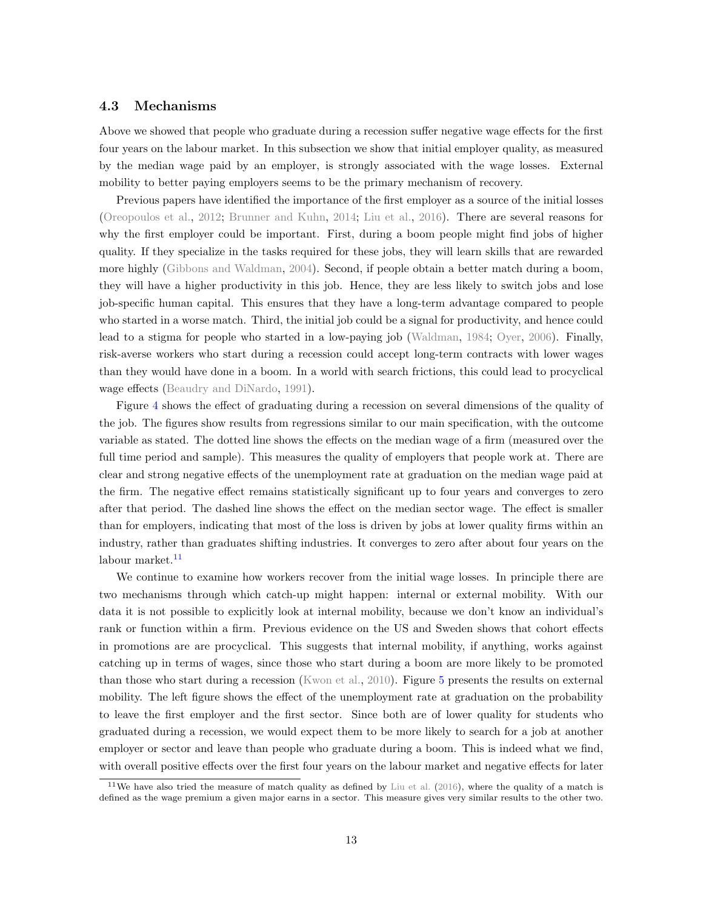#### 4.3 Mechanisms

Above we showed that people who graduate during a recession suffer negative wage effects for the first four years on the labour market. In this subsection we show that initial employer quality, as measured by the median wage paid by an employer, is strongly associated with the wage losses. External mobility to better paying employers seems to be the primary mechanism of recovery.

Previous papers have identified the importance of the first employer as a source of the initial losses [\(Oreopoulos et al.,](#page-23-1) [2012;](#page-23-1) [Brunner and Kuhn,](#page-22-0) [2014;](#page-22-0) [Liu et al.,](#page-23-3) [2016\)](#page-23-3). There are several reasons for why the first employer could be important. First, during a boom people might find jobs of higher quality. If they specialize in the tasks required for these jobs, they will learn skills that are rewarded more highly [\(Gibbons and Waldman,](#page-23-9) [2004\)](#page-23-9). Second, if people obtain a better match during a boom, they will have a higher productivity in this job. Hence, they are less likely to switch jobs and lose job-specific human capital. This ensures that they have a long-term advantage compared to people who started in a worse match. Third, the initial job could be a signal for productivity, and hence could lead to a stigma for people who started in a low-paying job [\(Waldman,](#page-23-10) [1984;](#page-23-10) [Oyer,](#page-23-11) [2006\)](#page-23-11). Finally, risk-averse workers who start during a recession could accept long-term contracts with lower wages than they would have done in a boom. In a world with search frictions, this could lead to procyclical wage effects [\(Beaudry and DiNardo,](#page-22-9) [1991\)](#page-22-9).

Figure [4](#page-13-1) shows the effect of graduating during a recession on several dimensions of the quality of the job. The figures show results from regressions similar to our main specification, with the outcome variable as stated. The dotted line shows the effects on the median wage of a firm (measured over the full time period and sample). This measures the quality of employers that people work at. There are clear and strong negative effects of the unemployment rate at graduation on the median wage paid at the firm. The negative effect remains statistically significant up to four years and converges to zero after that period. The dashed line shows the effect on the median sector wage. The effect is smaller than for employers, indicating that most of the loss is driven by jobs at lower quality firms within an industry, rather than graduates shifting industries. It converges to zero after about four years on the labour market.<sup>[11](#page-12-0)</sup>

We continue to examine how workers recover from the initial wage losses. In principle there are two mechanisms through which catch-up might happen: internal or external mobility. With our data it is not possible to explicitly look at internal mobility, because we don't know an individual's rank or function within a firm. Previous evidence on the US and Sweden shows that cohort effects in promotions are are procyclical. This suggests that internal mobility, if anything, works against catching up in terms of wages, since those who start during a boom are more likely to be promoted than those who start during a recession [\(Kwon et al.,](#page-23-12) [2010\)](#page-23-12). Figure [5](#page-14-0) presents the results on external mobility. The left figure shows the effect of the unemployment rate at graduation on the probability to leave the first employer and the first sector. Since both are of lower quality for students who graduated during a recession, we would expect them to be more likely to search for a job at another employer or sector and leave than people who graduate during a boom. This is indeed what we find, with overall positive effects over the first four years on the labour market and negative effects for later

<span id="page-12-0"></span> $11$ We have also tried the measure of match quality as defined by [Liu et al.](#page-23-3) [\(2016\)](#page-23-3), where the quality of a match is defined as the wage premium a given major earns in a sector. This measure gives very similar results to the other two.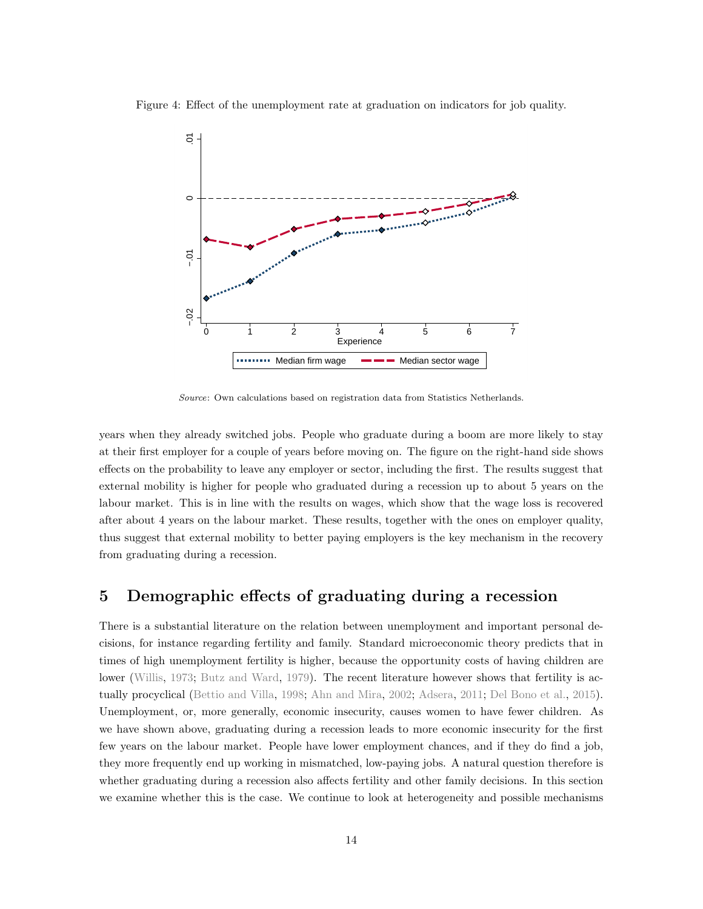<span id="page-13-1"></span>



Source: Own calculations based on registration data from Statistics Netherlands.

years when they already switched jobs. People who graduate during a boom are more likely to stay at their first employer for a couple of years before moving on. The figure on the right-hand side shows effects on the probability to leave any employer or sector, including the first. The results suggest that external mobility is higher for people who graduated during a recession up to about 5 years on the labour market. This is in line with the results on wages, which show that the wage loss is recovered after about 4 years on the labour market. These results, together with the ones on employer quality, thus suggest that external mobility to better paying employers is the key mechanism in the recovery from graduating during a recession.

## <span id="page-13-0"></span>5 Demographic effects of graduating during a recession

There is a substantial literature on the relation between unemployment and important personal decisions, for instance regarding fertility and family. Standard microeconomic theory predicts that in times of high unemployment fertility is higher, because the opportunity costs of having children are lower [\(Willis,](#page-23-4) [1973;](#page-23-4) [Butz and Ward,](#page-22-3) [1979\)](#page-22-3). The recent literature however shows that fertility is actually procyclical [\(Bettio and Villa,](#page-22-10) [1998;](#page-22-10) [Ahn and Mira,](#page-22-11) [2002;](#page-22-11) [Adsera,](#page-22-12) [2011;](#page-22-12) [Del Bono et al.,](#page-23-7) [2015\)](#page-23-7). Unemployment, or, more generally, economic insecurity, causes women to have fewer children. As we have shown above, graduating during a recession leads to more economic insecurity for the first few years on the labour market. People have lower employment chances, and if they do find a job, they more frequently end up working in mismatched, low-paying jobs. A natural question therefore is whether graduating during a recession also affects fertility and other family decisions. In this section we examine whether this is the case. We continue to look at heterogeneity and possible mechanisms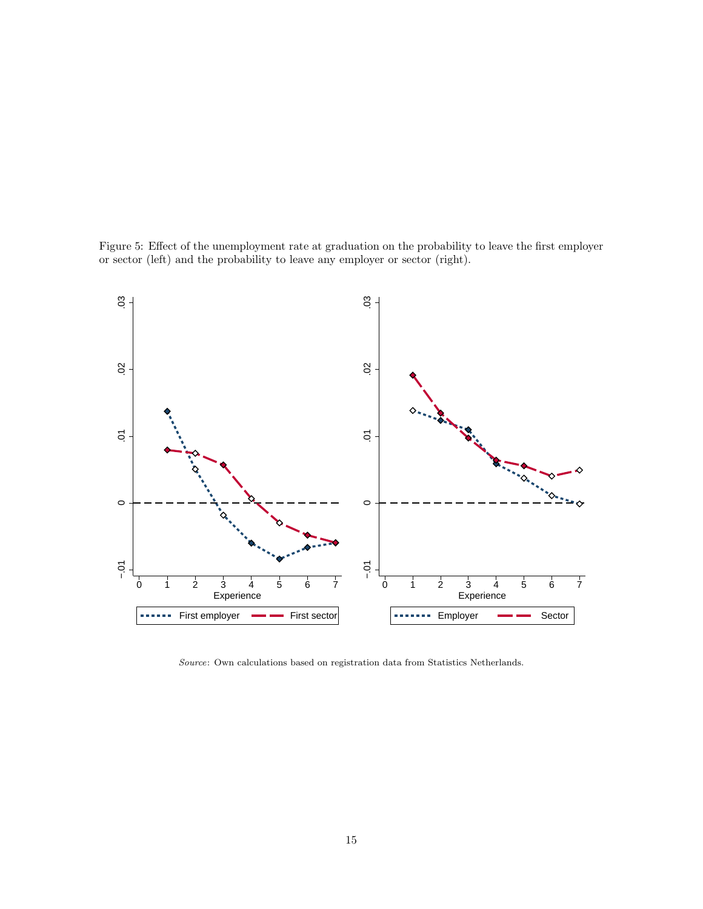

<span id="page-14-0"></span>

Source: Own calculations based on registration data from Statistics Netherlands.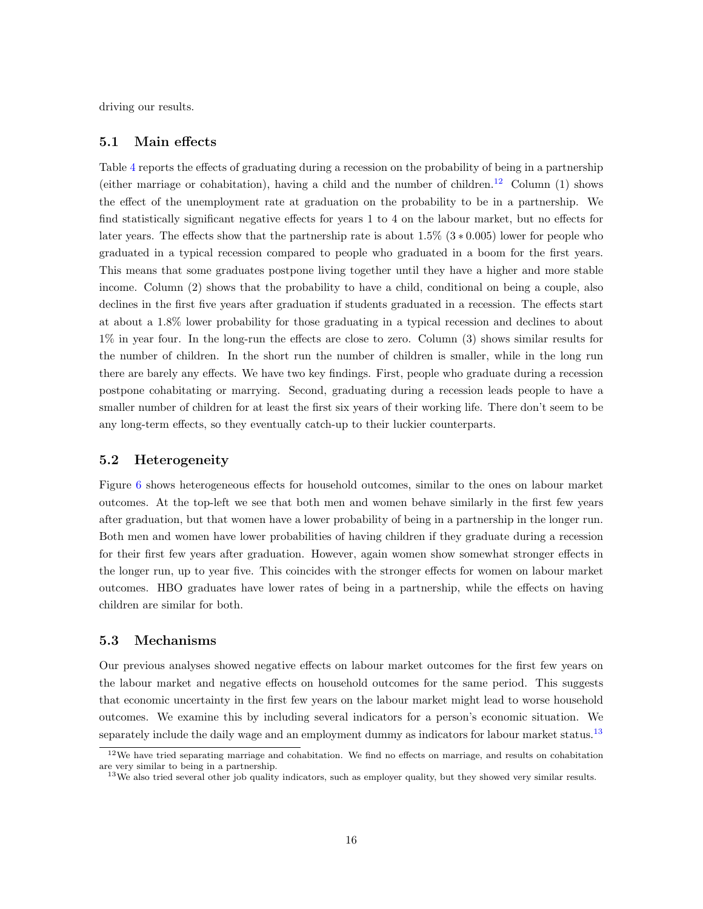driving our results.

#### 5.1 Main effects

Table [4](#page-16-0) reports the effects of graduating during a recession on the probability of being in a partnership (either marriage or cohabitation), having a child and the number of children.[12](#page-15-0) Column (1) shows the effect of the unemployment rate at graduation on the probability to be in a partnership. We find statistically significant negative effects for years 1 to 4 on the labour market, but no effects for later years. The effects show that the partnership rate is about  $1.5\%$  (3  $*$  0.005) lower for people who graduated in a typical recession compared to people who graduated in a boom for the first years. This means that some graduates postpone living together until they have a higher and more stable income. Column (2) shows that the probability to have a child, conditional on being a couple, also declines in the first five years after graduation if students graduated in a recession. The effects start at about a 1.8% lower probability for those graduating in a typical recession and declines to about 1% in year four. In the long-run the effects are close to zero. Column (3) shows similar results for the number of children. In the short run the number of children is smaller, while in the long run there are barely any effects. We have two key findings. First, people who graduate during a recession postpone cohabitating or marrying. Second, graduating during a recession leads people to have a smaller number of children for at least the first six years of their working life. There don't seem to be any long-term effects, so they eventually catch-up to their luckier counterparts.

#### 5.2 Heterogeneity

Figure [6](#page-17-0) shows heterogeneous effects for household outcomes, similar to the ones on labour market outcomes. At the top-left we see that both men and women behave similarly in the first few years after graduation, but that women have a lower probability of being in a partnership in the longer run. Both men and women have lower probabilities of having children if they graduate during a recession for their first few years after graduation. However, again women show somewhat stronger effects in the longer run, up to year five. This coincides with the stronger effects for women on labour market outcomes. HBO graduates have lower rates of being in a partnership, while the effects on having children are similar for both.

#### 5.3 Mechanisms

Our previous analyses showed negative effects on labour market outcomes for the first few years on the labour market and negative effects on household outcomes for the same period. This suggests that economic uncertainty in the first few years on the labour market might lead to worse household outcomes. We examine this by including several indicators for a person's economic situation. We separately include the daily wage and an employment dummy as indicators for labour market status.<sup>[13](#page-15-1)</sup>

<span id="page-15-0"></span><sup>&</sup>lt;sup>12</sup>We have tried separating marriage and cohabitation. We find no effects on marriage, and results on cohabitation are very similar to being in a partnership.

<span id="page-15-1"></span><sup>&</sup>lt;sup>13</sup>We also tried several other job quality indicators, such as employer quality, but they showed very similar results.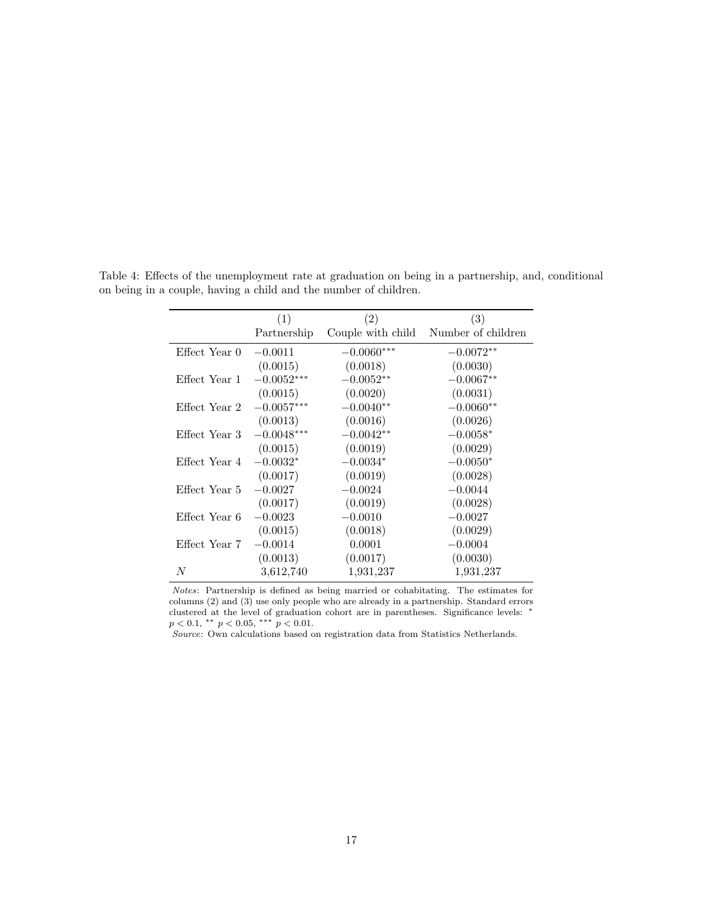|                               | (1)          | (2)               | (3)                |
|-------------------------------|--------------|-------------------|--------------------|
|                               | Partnership  | Couple with child | Number of children |
| Effect Year $0 \quad -0.0011$ |              | $-0.0060***$      | $-0.0072**$        |
|                               | (0.0015)     | (0.0018)          | (0.0030)           |
| Effect Year 1                 | $-0.0052***$ | $-0.0052**$       | $-0.0067**$        |
|                               | (0.0015)     | (0.0020)          | (0.0031)           |
| Effect Year 2                 | $-0.0057***$ | $-0.0040**$       | $-0.0060**$        |
|                               | (0.0013)     | (0.0016)          | (0.0026)           |
| Effect Year 3                 | $-0.0048***$ | $-0.0042**$       | $-0.0058*$         |
|                               | (0.0015)     | (0.0019)          | (0.0029)           |
| Effect Year 4                 | $-0.0032*$   | $-0.0034*$        | $-0.0050*$         |
|                               | (0.0017)     | (0.0019)          | (0.0028)           |
| Effect Year 5                 | $-0.0027$    | $-0.0024$         | $-0.0044$          |
|                               | (0.0017)     | (0.0019)          | (0.0028)           |
| Effect Year 6                 | $-0.0023$    | $-0.0010$         | $-0.0027$          |
|                               | (0.0015)     | (0.0018)          | (0.0029)           |
| Effect Year 7                 | $-0.0014$    | 0.0001            | $-0.0004$          |
|                               | (0.0013)     | (0.0017)          | (0.0030)           |
| N                             | 3,612,740    | 1,931,237         | 1,931,237          |

<span id="page-16-0"></span>Table 4: Effects of the unemployment rate at graduation on being in a partnership, and, conditional on being in a couple, having a child and the number of children.

Notes: Partnership is defined as being married or cohabitating. The estimates for columns (2) and (3) use only people who are already in a partnership. Standard errors clustered at the level of graduation cohort are in parentheses. Significance levels: <sup>∗</sup>  $p < 0.1$ , \*\*  $p < 0.05$ , \*\*\*  $p < 0.01$ .

Source: Own calculations based on registration data from Statistics Netherlands.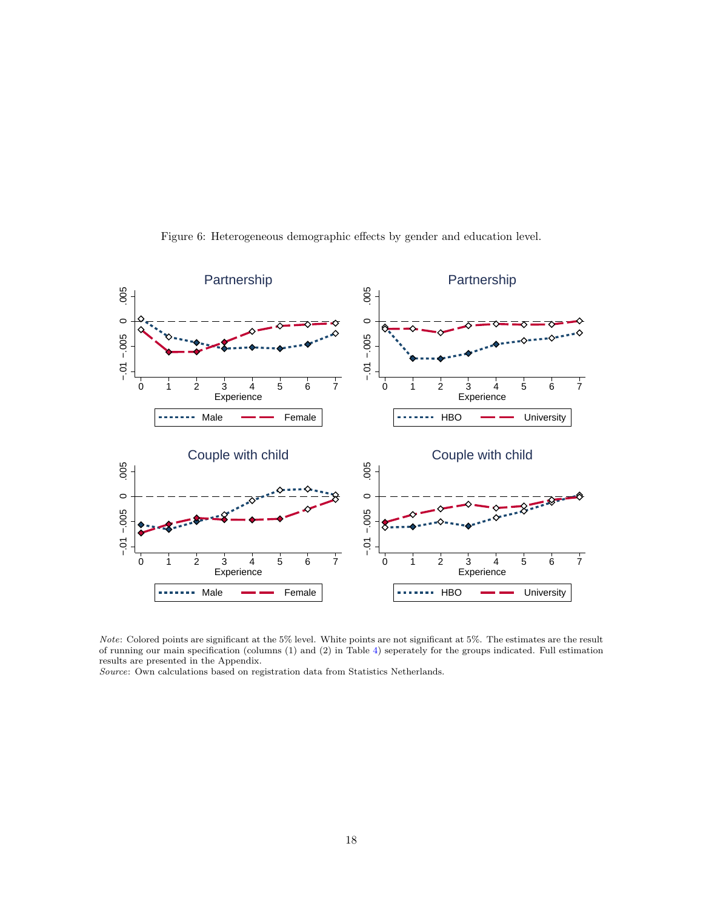<span id="page-17-0"></span>

Figure 6: Heterogeneous demographic effects by gender and education level.

Note: Colored points are significant at the 5% level. White points are not significant at 5%. The estimates are the result of running our main specification (columns (1) and (2) in Table [4\)](#page-16-0) seperately for the groups indicated. Full estimation results are presented in the Appendix.

Source: Own calculations based on registration data from Statistics Netherlands.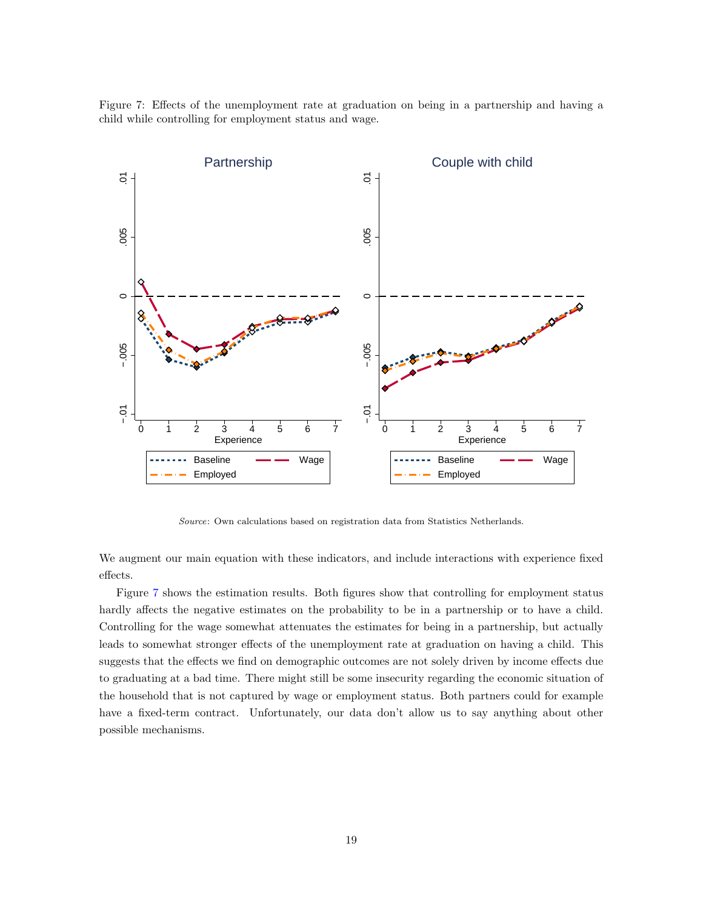Figure 7: Effects of the unemployment rate at graduation on being in a partnership and having a child while controlling for employment status and wage.

<span id="page-18-0"></span>

Source: Own calculations based on registration data from Statistics Netherlands.

We augment our main equation with these indicators, and include interactions with experience fixed effects.

Figure [7](#page-18-0) shows the estimation results. Both figures show that controlling for employment status hardly affects the negative estimates on the probability to be in a partnership or to have a child. Controlling for the wage somewhat attenuates the estimates for being in a partnership, but actually leads to somewhat stronger effects of the unemployment rate at graduation on having a child. This suggests that the effects we find on demographic outcomes are not solely driven by income effects due to graduating at a bad time. There might still be some insecurity regarding the economic situation of the household that is not captured by wage or employment status. Both partners could for example have a fixed-term contract. Unfortunately, our data don't allow us to say anything about other possible mechanisms.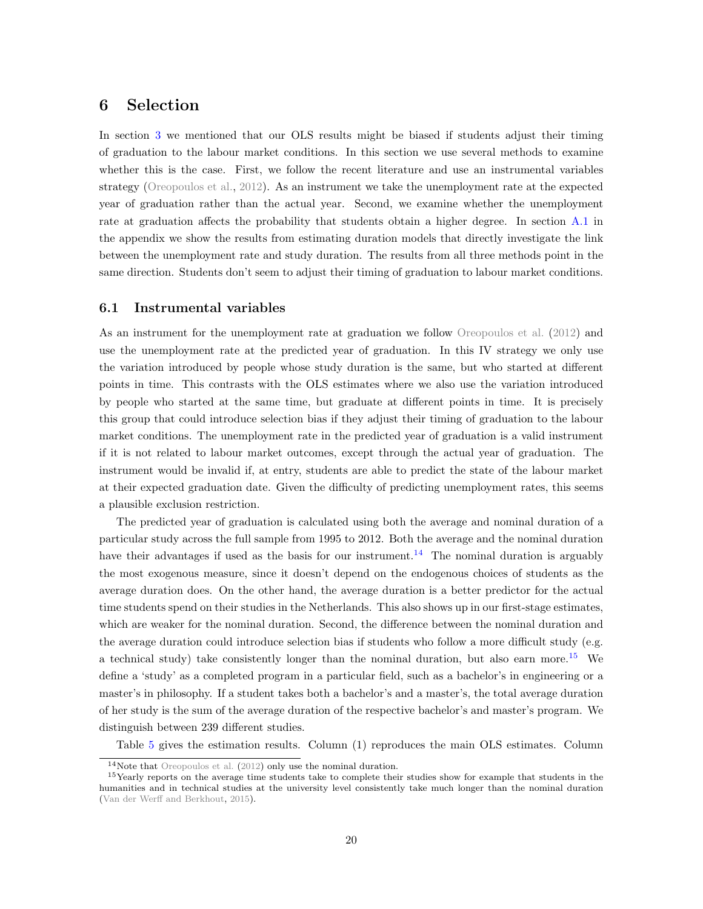## <span id="page-19-0"></span>6 Selection

In section [3](#page-5-0) we mentioned that our OLS results might be biased if students adjust their timing of graduation to the labour market conditions. In this section we use several methods to examine whether this is the case. First, we follow the recent literature and use an instrumental variables strategy [\(Oreopoulos et al.,](#page-23-1) [2012\)](#page-23-1). As an instrument we take the unemployment rate at the expected year of graduation rather than the actual year. Second, we examine whether the unemployment rate at graduation affects the probability that students obtain a higher degree. In section [A.1](#page-24-0) in the appendix we show the results from estimating duration models that directly investigate the link between the unemployment rate and study duration. The results from all three methods point in the same direction. Students don't seem to adjust their timing of graduation to labour market conditions.

#### <span id="page-19-3"></span>6.1 Instrumental variables

As an instrument for the unemployment rate at graduation we follow [Oreopoulos et al.](#page-23-1) [\(2012\)](#page-23-1) and use the unemployment rate at the predicted year of graduation. In this IV strategy we only use the variation introduced by people whose study duration is the same, but who started at different points in time. This contrasts with the OLS estimates where we also use the variation introduced by people who started at the same time, but graduate at different points in time. It is precisely this group that could introduce selection bias if they adjust their timing of graduation to the labour market conditions. The unemployment rate in the predicted year of graduation is a valid instrument if it is not related to labour market outcomes, except through the actual year of graduation. The instrument would be invalid if, at entry, students are able to predict the state of the labour market at their expected graduation date. Given the difficulty of predicting unemployment rates, this seems a plausible exclusion restriction.

The predicted year of graduation is calculated using both the average and nominal duration of a particular study across the full sample from 1995 to 2012. Both the average and the nominal duration have their advantages if used as the basis for our instrument.<sup>[14](#page-19-1)</sup> The nominal duration is arguably the most exogenous measure, since it doesn't depend on the endogenous choices of students as the average duration does. On the other hand, the average duration is a better predictor for the actual time students spend on their studies in the Netherlands. This also shows up in our first-stage estimates, which are weaker for the nominal duration. Second, the difference between the nominal duration and the average duration could introduce selection bias if students who follow a more difficult study (e.g. a technical study) take consistently longer than the nominal duration, but also earn more.<sup>[15](#page-19-2)</sup> We define a 'study' as a completed program in a particular field, such as a bachelor's in engineering or a master's in philosophy. If a student takes both a bachelor's and a master's, the total average duration of her study is the sum of the average duration of the respective bachelor's and master's program. We distinguish between 239 different studies.

Table [5](#page-20-0) gives the estimation results. Column (1) reproduces the main OLS estimates. Column

<span id="page-19-2"></span><span id="page-19-1"></span><sup>14</sup>Note that [Oreopoulos et al.](#page-23-1) [\(2012\)](#page-23-1) only use the nominal duration.

<sup>&</sup>lt;sup>15</sup>Yearly reports on the average time students take to complete their studies show for example that students in the humanities and in technical studies at the university level consistently take much longer than the nominal duration [\(Van der Werff and Berkhout,](#page-23-13) [2015\)](#page-23-13).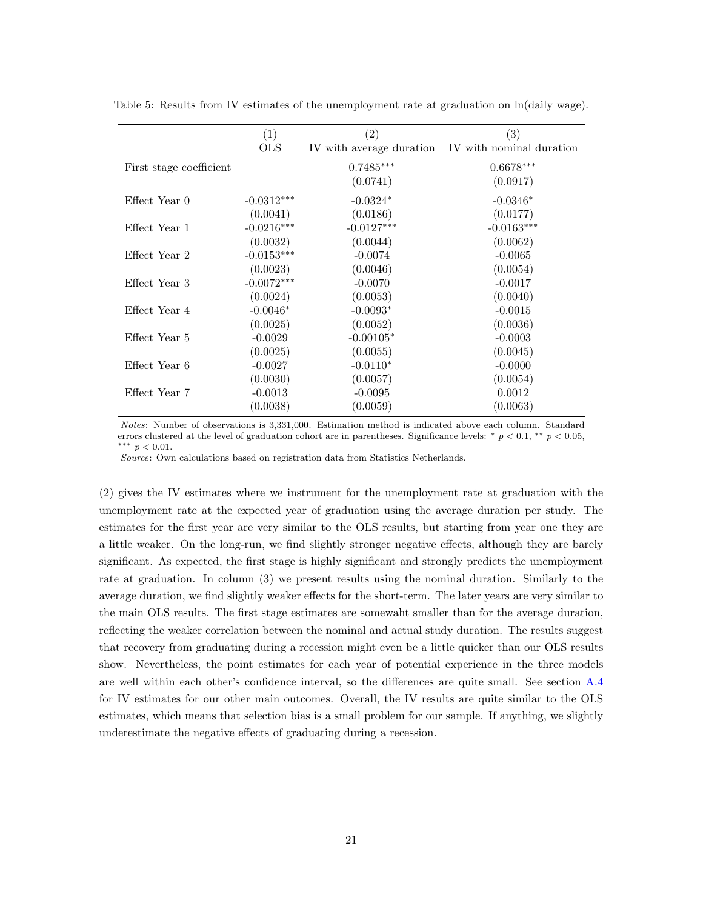<span id="page-20-0"></span>

|                         | (1)          | (2)                      | (3)                      |
|-------------------------|--------------|--------------------------|--------------------------|
|                         | <b>OLS</b>   | IV with average duration | IV with nominal duration |
| First stage coefficient |              | $0.7485***$              | $0.6678***$              |
|                         |              | (0.0741)                 | (0.0917)                 |
| Effect Year 0           | $-0.0312***$ | $-0.0324*$               | $-0.0346*$               |
|                         | (0.0041)     | (0.0186)                 | (0.0177)                 |
| Effect Year 1           | $-0.0216***$ | $-0.0127***$             | $-0.0163***$             |
|                         | (0.0032)     | (0.0044)                 | (0.0062)                 |
| Effect Year 2           | $-0.0153***$ | $-0.0074$                | $-0.0065$                |
|                         | (0.0023)     | (0.0046)                 | (0.0054)                 |
| Effect Year 3           | $-0.0072***$ | $-0.0070$                | $-0.0017$                |
|                         | (0.0024)     | (0.0053)                 | (0.0040)                 |
| Effect Year 4           | $-0.0046*$   | $-0.0093*$               | $-0.0015$                |
|                         | (0.0025)     | (0.0052)                 | (0.0036)                 |
| Effect Year 5           | $-0.0029$    | $-0.00105*$              | $-0.0003$                |
|                         | (0.0025)     | (0.0055)                 | (0.0045)                 |
| Effect Year 6           | $-0.0027$    | $-0.0110*$               | $-0.0000$                |
|                         | (0.0030)     | (0.0057)                 | (0.0054)                 |
| Effect Year 7           | $-0.0013$    | $-0.0095$                | 0.0012                   |
|                         | (0.0038)     | (0.0059)                 | (0.0063)                 |

Table 5: Results from IV estimates of the unemployment rate at graduation on  $ln(daily wage)$ .

Notes: Number of observations is 3,331,000. Estimation method is indicated above each column. Standard errors clustered at the level of graduation cohort are in parentheses. Significance levels: \*  $p < 0.1$ , \*\*  $p < 0.05$ , ∗∗∗ p < 0.01.

Source: Own calculations based on registration data from Statistics Netherlands.

(2) gives the IV estimates where we instrument for the unemployment rate at graduation with the unemployment rate at the expected year of graduation using the average duration per study. The estimates for the first year are very similar to the OLS results, but starting from year one they are a little weaker. On the long-run, we find slightly stronger negative effects, although they are barely significant. As expected, the first stage is highly significant and strongly predicts the unemployment rate at graduation. In column (3) we present results using the nominal duration. Similarly to the average duration, we find slightly weaker effects for the short-term. The later years are very similar to the main OLS results. The first stage estimates are somewaht smaller than for the average duration, reflecting the weaker correlation between the nominal and actual study duration. The results suggest that recovery from graduating during a recession might even be a little quicker than our OLS results show. Nevertheless, the point estimates for each year of potential experience in the three models are well within each other's confidence interval, so the differences are quite small. See section [A.4](#page-27-0) for IV estimates for our other main outcomes. Overall, the IV results are quite similar to the OLS estimates, which means that selection bias is a small problem for our sample. If anything, we slightly underestimate the negative effects of graduating during a recession.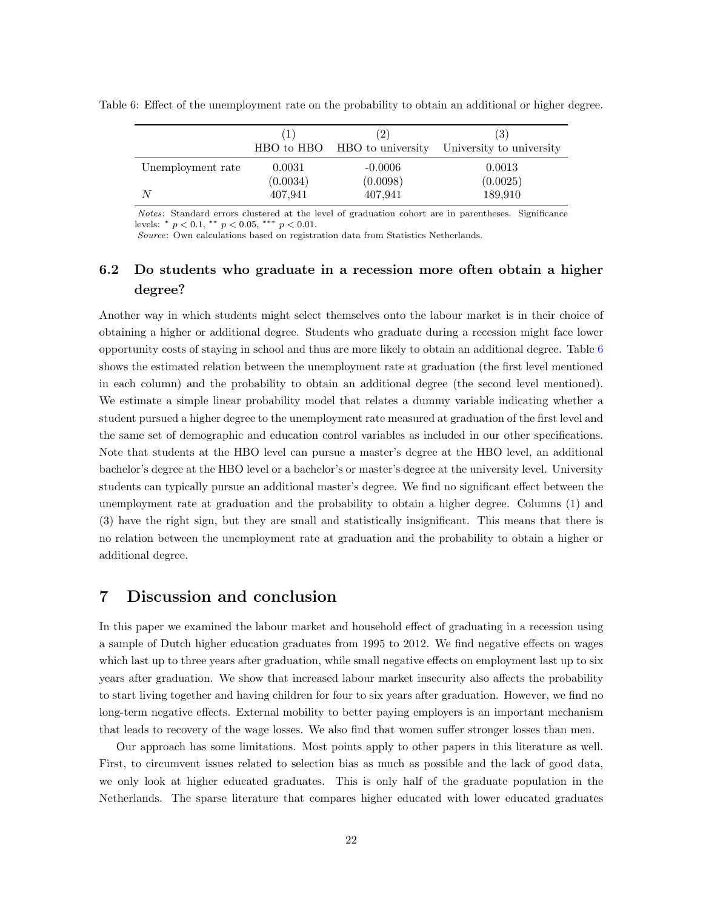<span id="page-21-1"></span>Table 6: Effect of the unemployment rate on the probability to obtain an additional or higher degree.

|                   | Τ.       | (2)<br>HBO to HBO HBO to university | (3)<br>University to university |
|-------------------|----------|-------------------------------------|---------------------------------|
| Unemployment rate | 0.0031   | $-0.0006$                           | 0.0013                          |
|                   | (0.0034) | (0.0098)                            | (0.0025)                        |
| N                 | 407,941  | 407,941                             | 189,910                         |

Notes: Standard errors clustered at the level of graduation cohort are in parentheses. Significance levels:  $*$   $p < 0.1$ ,  $**$   $p < 0.05$ ,  $***$   $p < 0.01$ .

Source: Own calculations based on registration data from Statistics Netherlands.

## 6.2 Do students who graduate in a recession more often obtain a higher degree?

Another way in which students might select themselves onto the labour market is in their choice of obtaining a higher or additional degree. Students who graduate during a recession might face lower opportunity costs of staying in school and thus are more likely to obtain an additional degree. Table [6](#page-21-1) shows the estimated relation between the unemployment rate at graduation (the first level mentioned in each column) and the probability to obtain an additional degree (the second level mentioned). We estimate a simple linear probability model that relates a dummy variable indicating whether a student pursued a higher degree to the unemployment rate measured at graduation of the first level and the same set of demographic and education control variables as included in our other specifications. Note that students at the HBO level can pursue a master's degree at the HBO level, an additional bachelor's degree at the HBO level or a bachelor's or master's degree at the university level. University students can typically pursue an additional master's degree. We find no significant effect between the unemployment rate at graduation and the probability to obtain a higher degree. Columns (1) and (3) have the right sign, but they are small and statistically insignificant. This means that there is no relation between the unemployment rate at graduation and the probability to obtain a higher or additional degree.

## <span id="page-21-0"></span>7 Discussion and conclusion

In this paper we examined the labour market and household effect of graduating in a recession using a sample of Dutch higher education graduates from 1995 to 2012. We find negative effects on wages which last up to three years after graduation, while small negative effects on employment last up to six years after graduation. We show that increased labour market insecurity also affects the probability to start living together and having children for four to six years after graduation. However, we find no long-term negative effects. External mobility to better paying employers is an important mechanism that leads to recovery of the wage losses. We also find that women suffer stronger losses than men.

Our approach has some limitations. Most points apply to other papers in this literature as well. First, to circumvent issues related to selection bias as much as possible and the lack of good data, we only look at higher educated graduates. This is only half of the graduate population in the Netherlands. The sparse literature that compares higher educated with lower educated graduates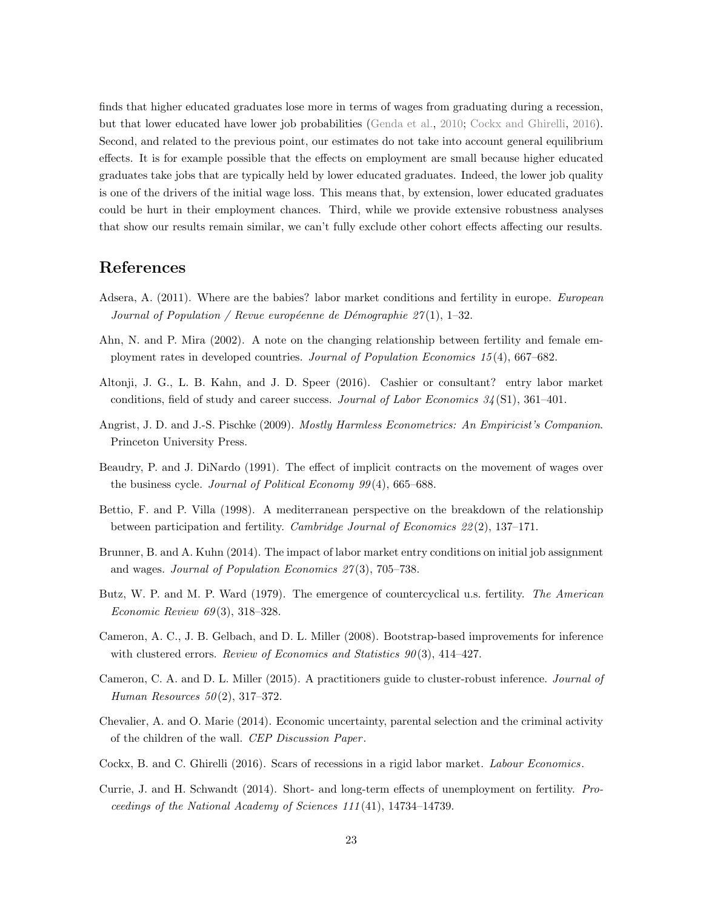finds that higher educated graduates lose more in terms of wages from graduating during a recession, but that lower educated have lower job probabilities [\(Genda et al.,](#page-23-2) [2010;](#page-23-2) [Cockx and Ghirelli,](#page-22-2) [2016\)](#page-22-2). Second, and related to the previous point, our estimates do not take into account general equilibrium effects. It is for example possible that the effects on employment are small because higher educated graduates take jobs that are typically held by lower educated graduates. Indeed, the lower job quality is one of the drivers of the initial wage loss. This means that, by extension, lower educated graduates could be hurt in their employment chances. Third, while we provide extensive robustness analyses that show our results remain similar, we can't fully exclude other cohort effects affecting our results.

## References

- <span id="page-22-12"></span>Adsera, A. (2011). Where are the babies? labor market conditions and fertility in europe. European Journal of Population / Revue européenne de Démographie  $27(1)$ , 1–32.
- <span id="page-22-11"></span>Ahn, N. and P. Mira (2002). A note on the changing relationship between fertility and female employment rates in developed countries. Journal of Population Economics 15 (4), 667–682.
- <span id="page-22-1"></span>Altonji, J. G., L. B. Kahn, and J. D. Speer (2016). Cashier or consultant? entry labor market conditions, field of study and career success. Journal of Labor Economics 34 (S1), 361–401.
- <span id="page-22-6"></span>Angrist, J. D. and J.-S. Pischke (2009). Mostly Harmless Econometrics: An Empiricist's Companion. Princeton University Press.
- <span id="page-22-9"></span>Beaudry, P. and J. DiNardo (1991). The effect of implicit contracts on the movement of wages over the business cycle. Journal of Political Economy  $99(4)$ , 665–688.
- <span id="page-22-10"></span>Bettio, F. and P. Villa (1998). A mediterranean perspective on the breakdown of the relationship between participation and fertility. Cambridge Journal of Economics 22 (2), 137–171.
- <span id="page-22-0"></span>Brunner, B. and A. Kuhn (2014). The impact of labor market entry conditions on initial job assignment and wages. *Journal of Population Economics 27*(3), 705–738.
- <span id="page-22-3"></span>Butz, W. P. and M. P. Ward (1979). The emergence of countercyclical u.s. fertility. The American *Economic Review 69*(3), 318-328.
- <span id="page-22-7"></span>Cameron, A. C., J. B. Gelbach, and D. L. Miller (2008). Bootstrap-based improvements for inference with clustered errors. Review of Economics and Statistics  $90(3)$ , 414–427.
- <span id="page-22-8"></span>Cameron, C. A. and D. L. Miller (2015). A practitioners guide to cluster-robust inference. Journal of Human Resources  $50(2)$ , 317-372.
- <span id="page-22-4"></span>Chevalier, A. and O. Marie (2014). Economic uncertainty, parental selection and the criminal activity of the children of the wall. CEP Discussion Paper .
- <span id="page-22-2"></span>Cockx, B. and C. Ghirelli (2016). Scars of recessions in a rigid labor market. Labour Economics.
- <span id="page-22-5"></span>Currie, J. and H. Schwandt (2014). Short- and long-term effects of unemployment on fertility. Proceedings of the National Academy of Sciences 111 (41), 14734–14739.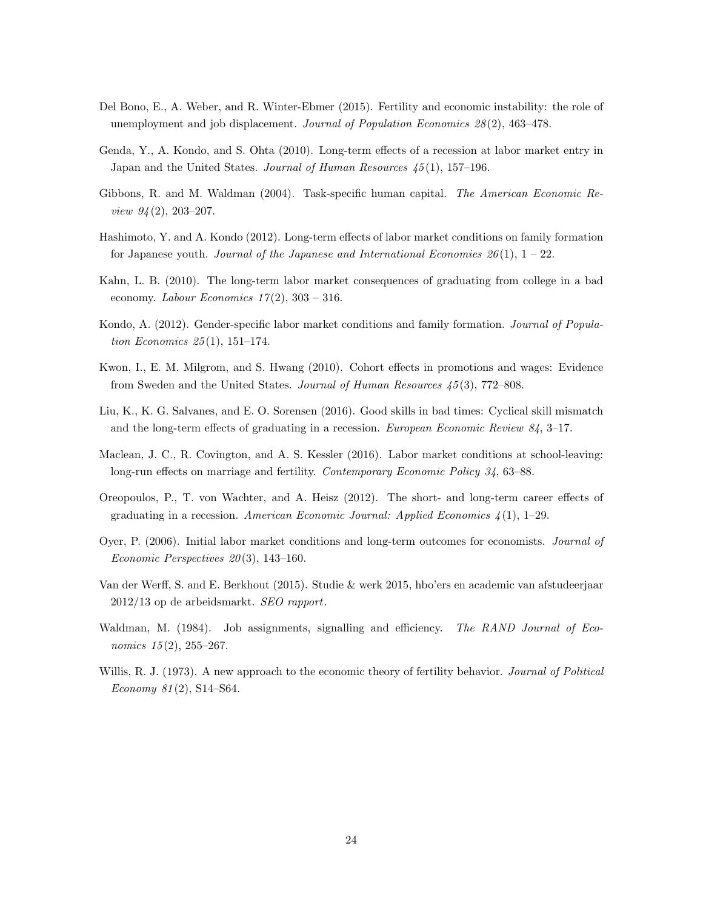- <span id="page-23-7"></span>Del Bono, E., A. Weber, and R. Winter-Ebmer (2015). Fertility and economic instability: the role of unemployment and job displacement. Journal of Population Economics 28 (2), 463–478.
- <span id="page-23-2"></span>Genda, Y., A. Kondo, and S. Ohta (2010). Long-term effects of a recession at labor market entry in Japan and the United States. Journal of Human Resources  $45(1)$ , 157-196.
- <span id="page-23-9"></span>Gibbons, R. and M. Waldman (2004). Task-specific human capital. The American Economic Review 94 (2), 203–207.
- <span id="page-23-6"></span>Hashimoto, Y. and A. Kondo (2012). Long-term effects of labor market conditions on family formation for Japanese youth. Journal of the Japanese and International Economies  $26(1)$ ,  $1-22$ .
- <span id="page-23-0"></span>Kahn, L. B. (2010). The long-term labor market consequences of graduating from college in a bad economy. Labour Economics  $17(2)$ ,  $303 - 316$ .
- <span id="page-23-8"></span>Kondo, A. (2012). Gender-specific labor market conditions and family formation. Journal of Population Economics  $25(1)$ , 151-174.
- <span id="page-23-12"></span>Kwon, I., E. M. Milgrom, and S. Hwang (2010). Cohort effects in promotions and wages: Evidence from Sweden and the United States. Journal of Human Resources 45 (3), 772–808.
- <span id="page-23-3"></span>Liu, K., K. G. Salvanes, and E. O. Sorensen (2016). Good skills in bad times: Cyclical skill mismatch and the long-term effects of graduating in a recession. European Economic Review 84, 3–17.
- <span id="page-23-5"></span>Maclean, J. C., R. Covington, and A. S. Kessler (2016). Labor market conditions at school-leaving: long-run effects on marriage and fertility. Contemporary Economic Policy 34, 63–88.
- <span id="page-23-1"></span>Oreopoulos, P., T. von Wachter, and A. Heisz (2012). The short- and long-term career effects of graduating in a recession. American Economic Journal: Applied Economics  $\mathcal{A}(1)$ , 1–29.
- <span id="page-23-11"></span>Oyer, P. (2006). Initial labor market conditions and long-term outcomes for economists. Journal of Economic Perspectives  $20(3)$ , 143-160.
- <span id="page-23-13"></span>Van der Werff, S. and E. Berkhout (2015). Studie & werk 2015, hbo'ers en academic van afstudeerjaar 2012/13 op de arbeidsmarkt. SEO rapport.
- <span id="page-23-10"></span>Waldman, M. (1984). Job assignments, signalling and efficiency. The RAND Journal of Economics 15(2), 255-267.
- <span id="page-23-4"></span>Willis, R. J. (1973). A new approach to the economic theory of fertility behavior. Journal of Political Economy 81 (2), S14–S64.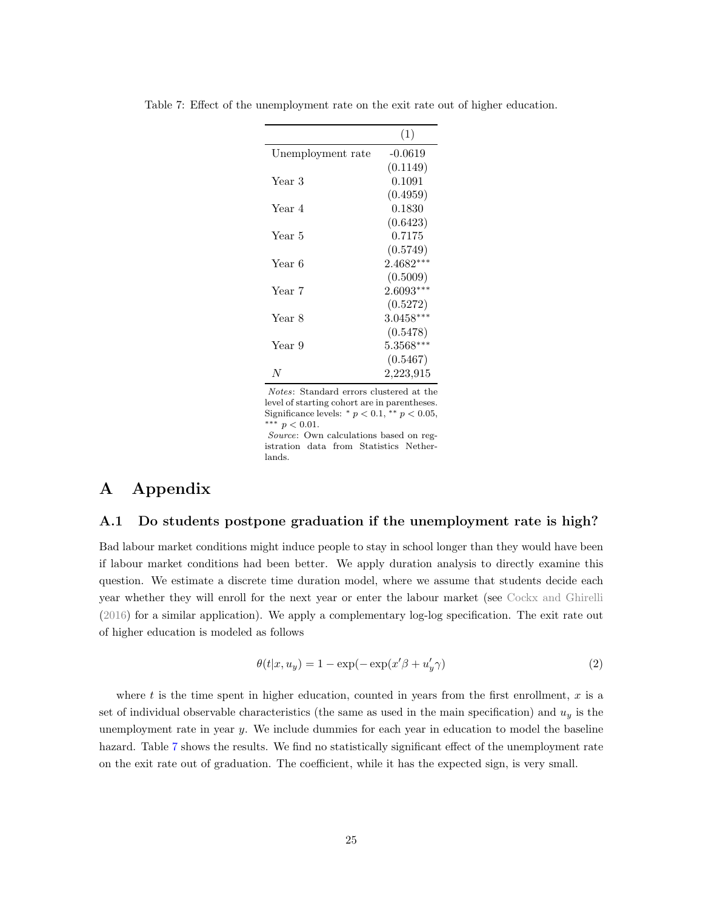|                   | (1)         |
|-------------------|-------------|
| Unemployment rate | $-0.0619$   |
|                   | (0.1149)    |
| Year 3            | 0.1091      |
|                   | (0.4959)    |
| Year 4            | 0.1830      |
|                   | (0.6423)    |
| Year 5            | 0.7175      |
|                   | (0.5749)    |
| Year 6            | 2.4682***   |
|                   | (0.5009)    |
| Year 7            | $2.6093***$ |
|                   | (0.5272)    |
| Year 8            | $3.0458***$ |
|                   | (0.5478)    |
| Year 9            | $5.3568***$ |
|                   | (0.5467)    |
| N                 | 2,223,915   |

<span id="page-24-1"></span>Table 7: Effect of the unemployment rate on the exit rate out of higher education.

Notes: Standard errors clustered at the level of starting cohort are in parentheses. Significance levels:  $*$   $p$  < 0.1,  $*$   $*$   $p$  < 0.05, ∗∗∗ p < 0.01.

Source: Own calculations based on registration data from Statistics Netherlands.

## A Appendix

### <span id="page-24-0"></span>A.1 Do students postpone graduation if the unemployment rate is high?

Bad labour market conditions might induce people to stay in school longer than they would have been if labour market conditions had been better. We apply duration analysis to directly examine this question. We estimate a discrete time duration model, where we assume that students decide each year whether they will enroll for the next year or enter the labour market (see [Cockx and Ghirelli](#page-22-2) [\(2016\)](#page-22-2) for a similar application). We apply a complementary log-log specification. The exit rate out of higher education is modeled as follows

$$
\theta(t|x, u_y) = 1 - \exp(-\exp(x'\beta + u'_y \gamma))
$$
\n(2)

where  $t$  is the time spent in higher education, counted in years from the first enrollment,  $x$  is a set of individual observable characteristics (the same as used in the main specification) and  $u_y$  is the unemployment rate in year y. We include dummies for each year in education to model the baseline hazard. Table [7](#page-24-1) shows the results. We find no statistically significant effect of the unemployment rate on the exit rate out of graduation. The coefficient, while it has the expected sign, is very small.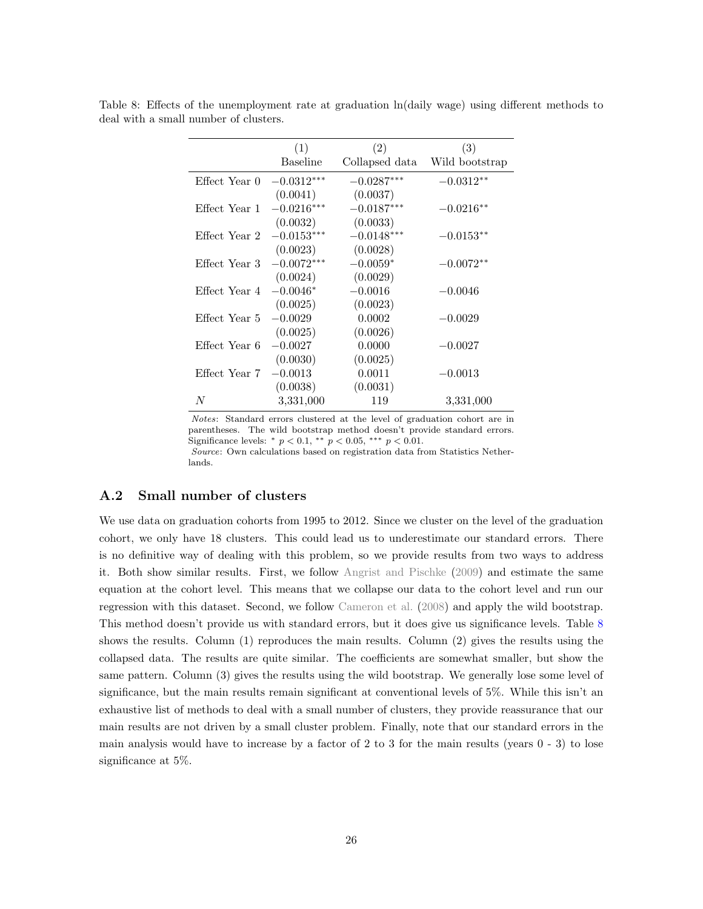|               | (1)             | (2)            | (3)            |
|---------------|-----------------|----------------|----------------|
|               | <b>Baseline</b> | Collapsed data | Wild bootstrap |
| Effect Year 0 | $-0.0312***$    | $-0.0287***$   | $-0.0312**$    |
|               | (0.0041)        | (0.0037)       |                |
| Effect Year 1 | $-0.0216***$    | $-0.0187***$   | $-0.0216**$    |
|               | (0.0032)        | (0.0033)       |                |
| Effect Year 2 | $-0.0153***$    | $-0.0148***$   | $-0.0153**$    |
|               | (0.0023)        | (0.0028)       |                |
| Effect Year 3 | $-0.0072***$    | $-0.0059*$     | $-0.0072**$    |
|               | (0.0024)        | (0.0029)       |                |
| Effect Year 4 | $-0.0046*$      | $-0.0016$      | $-0.0046$      |
|               | (0.0025)        | (0.0023)       |                |
| Effect Year 5 | $-0.0029$       | 0.0002         | $-0.0029$      |
|               | (0.0025)        | (0.0026)       |                |
| Effect Year 6 | $-0.0027$       | 0.0000         | $-0.0027$      |
|               | (0.0030)        | (0.0025)       |                |
| Effect Year 7 | $-0.0013$       | 0.0011         | $-0.0013$      |
|               | (0.0038)        | (0.0031)       |                |
| N             | 3,331,000       | 119            | 3,331,000      |

<span id="page-25-0"></span>Table 8: Effects of the unemployment rate at graduation ln(daily wage) using different methods to deal with a small number of clusters.

Notes: Standard errors clustered at the level of graduation cohort are in parentheses. The wild bootstrap method doesn't provide standard errors. Significance levels:  $*$   $p < 0.1$ ,  $**$   $p < 0.05$ ,  $***$   $p < 0.01$ .

Source: Own calculations based on registration data from Statistics Netherlands.

#### A.2 Small number of clusters

We use data on graduation cohorts from 1995 to 2012. Since we cluster on the level of the graduation cohort, we only have 18 clusters. This could lead us to underestimate our standard errors. There is no definitive way of dealing with this problem, so we provide results from two ways to address it. Both show similar results. First, we follow [Angrist and Pischke](#page-22-6) [\(2009\)](#page-22-6) and estimate the same equation at the cohort level. This means that we collapse our data to the cohort level and run our regression with this dataset. Second, we follow [Cameron et al.](#page-22-7) [\(2008\)](#page-22-7) and apply the wild bootstrap. This method doesn't provide us with standard errors, but it does give us significance levels. Table [8](#page-25-0) shows the results. Column (1) reproduces the main results. Column (2) gives the results using the collapsed data. The results are quite similar. The coefficients are somewhat smaller, but show the same pattern. Column (3) gives the results using the wild bootstrap. We generally lose some level of significance, but the main results remain significant at conventional levels of 5%. While this isn't an exhaustive list of methods to deal with a small number of clusters, they provide reassurance that our main results are not driven by a small cluster problem. Finally, note that our standard errors in the main analysis would have to increase by a factor of 2 to 3 for the main results (years 0 - 3) to lose significance at 5%.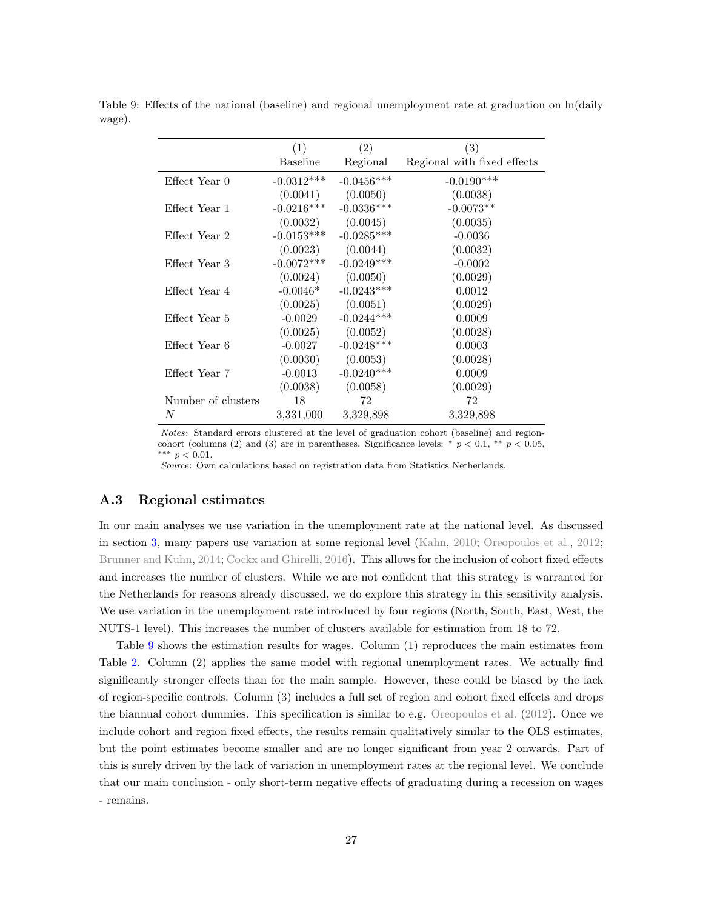|                    | (1)             | (2)          | (3)                         |
|--------------------|-----------------|--------------|-----------------------------|
|                    | <b>Baseline</b> | Regional     | Regional with fixed effects |
| Effect Year 0      | $-0.0312***$    | $-0.0456***$ | $-0.0190***$                |
|                    | (0.0041)        | (0.0050)     | (0.0038)                    |
| Effect Year 1      | $-0.0216***$    | $-0.0336***$ | $-0.0073**$                 |
|                    | (0.0032)        | (0.0045)     | (0.0035)                    |
| Effect Year 2      | $-0.0153***$    | $-0.0285***$ | $-0.0036$                   |
|                    | (0.0023)        | (0.0044)     | (0.0032)                    |
| Effect Year 3      | $-0.0072***$    | $-0.0249***$ | $-0.0002$                   |
|                    | (0.0024)        | (0.0050)     | (0.0029)                    |
| Effect Year 4      | $-0.0046*$      | $-0.0243***$ | 0.0012                      |
|                    | (0.0025)        | (0.0051)     | (0.0029)                    |
| Effect Year 5      | $-0.0029$       | $-0.0244***$ | 0.0009                      |
|                    | (0.0025)        | (0.0052)     | (0.0028)                    |
| Effect Year 6      | $-0.0027$       | $-0.0248***$ | 0.0003                      |
|                    | (0.0030)        | (0.0053)     | (0.0028)                    |
| Effect Year 7      | $-0.0013$       | $-0.0240***$ | 0.0009                      |
|                    | (0.0038)        | (0.0058)     | (0.0029)                    |
| Number of clusters | 18              | 72           | 72                          |
| N                  | 3,331,000       | 3,329,898    | 3,329,898                   |

<span id="page-26-1"></span>Table 9: Effects of the national (baseline) and regional unemployment rate at graduation on  $ln(daily)$ wage).

Notes: Standard errors clustered at the level of graduation cohort (baseline) and regioncohort (columns (2) and (3) are in parentheses. Significance levels: \*  $p < 0.1$ , \*\*  $p < 0.05$ , ∗∗∗ p < 0.01.

Source: Own calculations based on registration data from Statistics Netherlands.

#### <span id="page-26-0"></span>A.3 Regional estimates

In our main analyses we use variation in the unemployment rate at the national level. As discussed in section [3,](#page-5-0) many papers use variation at some regional level [\(Kahn,](#page-23-0) [2010;](#page-23-0) [Oreopoulos et al.,](#page-23-1) [2012;](#page-23-1) [Brunner and Kuhn,](#page-22-0) [2014;](#page-22-0) [Cockx and Ghirelli,](#page-22-2) [2016\)](#page-22-2). This allows for the inclusion of cohort fixed effects and increases the number of clusters. While we are not confident that this strategy is warranted for the Netherlands for reasons already discussed, we do explore this strategy in this sensitivity analysis. We use variation in the unemployment rate introduced by four regions (North, South, East, West, the NUTS-1 level). This increases the number of clusters available for estimation from 18 to 72.

Table [9](#page-26-1) shows the estimation results for wages. Column (1) reproduces the main estimates from Table [2.](#page-10-0) Column (2) applies the same model with regional unemployment rates. We actually find significantly stronger effects than for the main sample. However, these could be biased by the lack of region-specific controls. Column (3) includes a full set of region and cohort fixed effects and drops the biannual cohort dummies. This specification is similar to e.g. [Oreopoulos et al.](#page-23-1) [\(2012\)](#page-23-1). Once we include cohort and region fixed effects, the results remain qualitatively similar to the OLS estimates, but the point estimates become smaller and are no longer significant from year 2 onwards. Part of this is surely driven by the lack of variation in unemployment rates at the regional level. We conclude that our main conclusion - only short-term negative effects of graduating during a recession on wages - remains.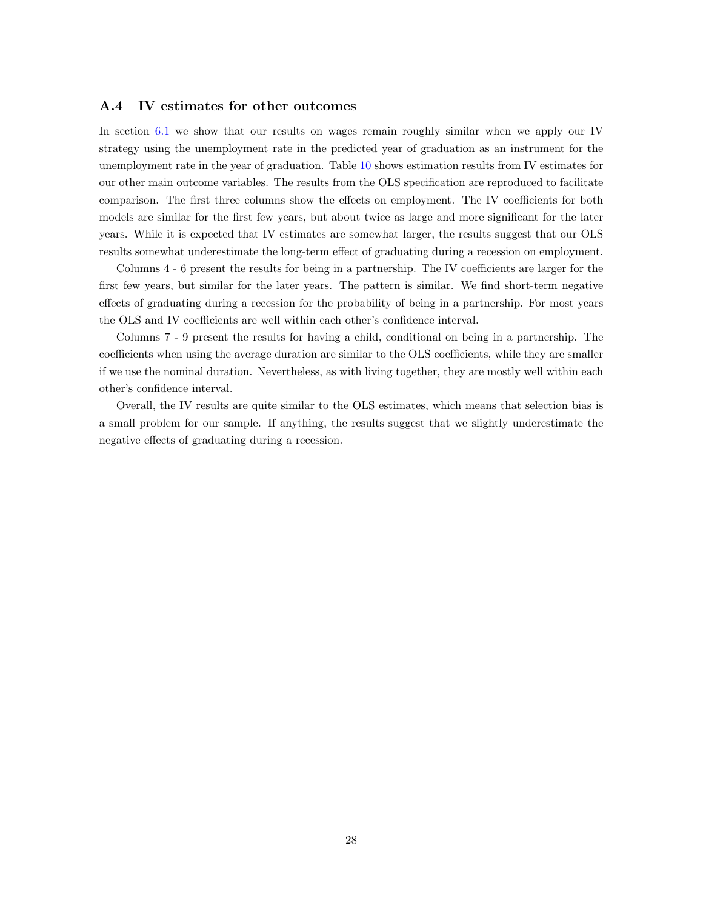#### <span id="page-27-0"></span>A.4 IV estimates for other outcomes

In section [6.1](#page-19-3) we show that our results on wages remain roughly similar when we apply our IV strategy using the unemployment rate in the predicted year of graduation as an instrument for the unemployment rate in the year of graduation. Table [10](#page-28-0) shows estimation results from IV estimates for our other main outcome variables. The results from the OLS specification are reproduced to facilitate comparison. The first three columns show the effects on employment. The IV coefficients for both models are similar for the first few years, but about twice as large and more significant for the later years. While it is expected that IV estimates are somewhat larger, the results suggest that our OLS results somewhat underestimate the long-term effect of graduating during a recession on employment.

Columns 4 - 6 present the results for being in a partnership. The IV coefficients are larger for the first few years, but similar for the later years. The pattern is similar. We find short-term negative effects of graduating during a recession for the probability of being in a partnership. For most years the OLS and IV coefficients are well within each other's confidence interval.

Columns 7 - 9 present the results for having a child, conditional on being in a partnership. The coefficients when using the average duration are similar to the OLS coefficients, while they are smaller if we use the nominal duration. Nevertheless, as with living together, they are mostly well within each other's confidence interval.

Overall, the IV results are quite similar to the OLS estimates, which means that selection bias is a small problem for our sample. If anything, the results suggest that we slightly underestimate the negative effects of graduating during a recession.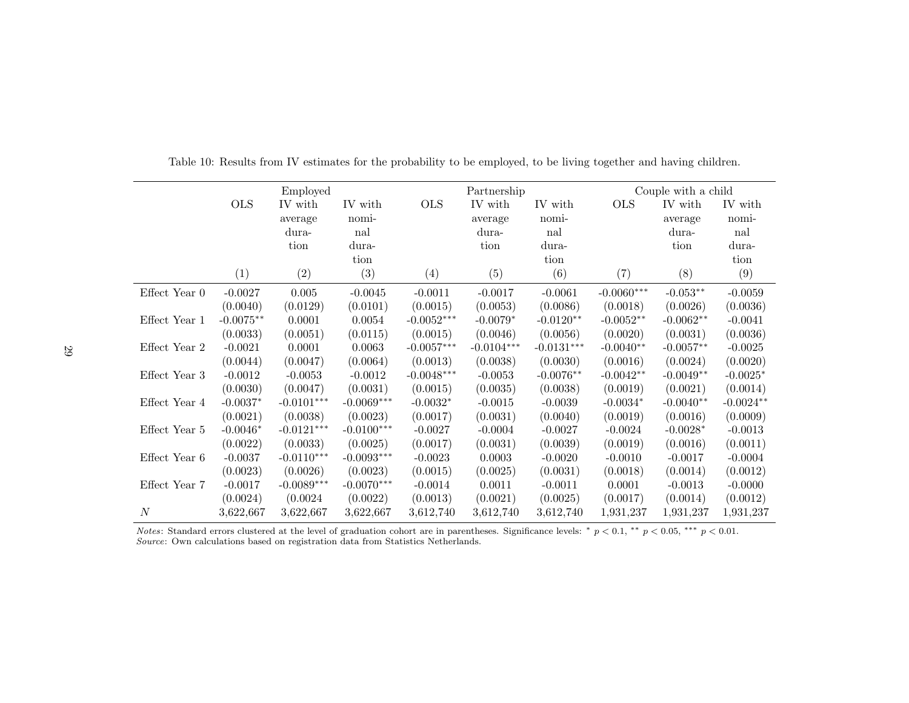|                 |             | Employed     |              |              | Partnership  |              |              | Couple with a child |                  |
|-----------------|-------------|--------------|--------------|--------------|--------------|--------------|--------------|---------------------|------------------|
|                 | <b>OLS</b>  | IV with      | IV with      | <b>OLS</b>   | IV with      | IV with      | <b>OLS</b>   | IV with             | IV with          |
|                 |             | average      | nomi-        |              | average      | nomi-        |              | average             | nomi-            |
|                 |             | dura-        | nal          |              | dura-        | nal          |              | dura-               | nal              |
|                 |             | tion         | dura-        |              | tion         | dura-        |              | tion                | dura-            |
|                 |             |              | tion         |              |              | tion         |              |                     | tion             |
|                 | (1)         | (2)          | (3)          | (4)          | (5)          | (6)          | (7)          | (8)                 | (9)              |
| Effect Year $0$ | $-0.0027$   | 0.005        | $-0.0045$    | $-0.0011$    | $-0.0017$    | $-0.0061$    | $-0.0060***$ | $-0.053**$          | $-0.0059$        |
|                 | (0.0040)    | (0.0129)     | (0.0101)     | (0.0015)     | (0.0053)     | (0.0086)     | (0.0018)     | (0.0026)            | (0.0036)         |
| Effect Year 1   | $-0.0075**$ | 0.0001       | 0.0054       | $-0.0052***$ | $-0.0079*$   | $-0.0120**$  | $-0.0052**$  | $-0.0062**$         | $-0.0041$        |
|                 | (0.0033)    | (0.0051)     | (0.0115)     | (0.0015)     | (0.0046)     | (0.0056)     | (0.0020)     | (0.0031)            | (0.0036)         |
| Effect Year 2   | $-0.0021$   | 0.0001       | 0.0063       | $-0.0057***$ | $-0.0104***$ | $-0.0131***$ | $-0.0040**$  | $-0.0057**$         | $-0.0025$        |
|                 | (0.0044)    | (0.0047)     | (0.0064)     | (0.0013)     | (0.0038)     | (0.0030)     | (0.0016)     | (0.0024)            | (0.0020)         |
| Effect Year 3   | $-0.0012$   | $-0.0053$    | $-0.0012$    | $-0.0048***$ | $-0.0053$    | $-0.0076**$  | $-0.0042**$  | $-0.0049**$         | $-0.0025^{\ast}$ |
|                 | (0.0030)    | (0.0047)     | (0.0031)     | (0.0015)     | (0.0035)     | (0.0038)     | (0.0019)     | (0.0021)            | (0.0014)         |
| Effect Year 4   | $-0.0037*$  | $-0.0101***$ | $-0.0069***$ | $-0.0032*$   | $-0.0015$    | $-0.0039$    | $-0.0034*$   | $-0.0040**$         | $-0.0024**$      |
|                 | (0.0021)    | (0.0038)     | (0.0023)     | (0.0017)     | (0.0031)     | (0.0040)     | (0.0019)     | (0.0016)            | (0.0009)         |
| Effect Year 5   | $-0.0046*$  | $-0.0121***$ | $-0.0100***$ | $-0.0027$    | $-0.0004$    | $-0.0027$    | $-0.0024$    | $-0.0028*$          | $-0.0013$        |
|                 | (0.0022)    | (0.0033)     | (0.0025)     | (0.0017)     | (0.0031)     | (0.0039)     | (0.0019)     | (0.0016)            | (0.0011)         |
| Effect Year 6   | $-0.0037$   | $-0.0110***$ | $-0.0093***$ | $-0.0023$    | 0.0003       | $-0.0020$    | $-0.0010$    | $-0.0017$           | $-0.0004$        |
|                 | (0.0023)    | (0.0026)     | (0.0023)     | (0.0015)     | (0.0025)     | (0.0031)     | (0.0018)     | (0.0014)            | (0.0012)         |
| Effect Year 7   | $-0.0017$   | $-0.0089***$ | $-0.0070***$ | $-0.0014$    | 0.0011       | $-0.0011$    | 0.0001       | $-0.0013$           | $-0.0000$        |
|                 | (0.0024)    | (0.0024)     | (0.0022)     | (0.0013)     | (0.0021)     | (0.0025)     | (0.0017)     | (0.0014)            | (0.0012)         |
| N               | 3,622,667   | 3,622,667    | 3,622,667    | 3,612,740    | 3,612,740    | 3,612,740    | 1,931,237    | 1,931,237           | 1,931,237        |

Table 10: Results from IV estimates for the probability to be employed, to be living together and having children.

<span id="page-28-0"></span>Notes: Standard errors clustered at the level of graduation cohort are in parentheses. Significance levels: \*  $p < 0.1$ , \*\*  $p < 0.05$ , \*\*\*  $p < 0.01$ . Source: Own calculations based on registration data from Statistics Netherlands.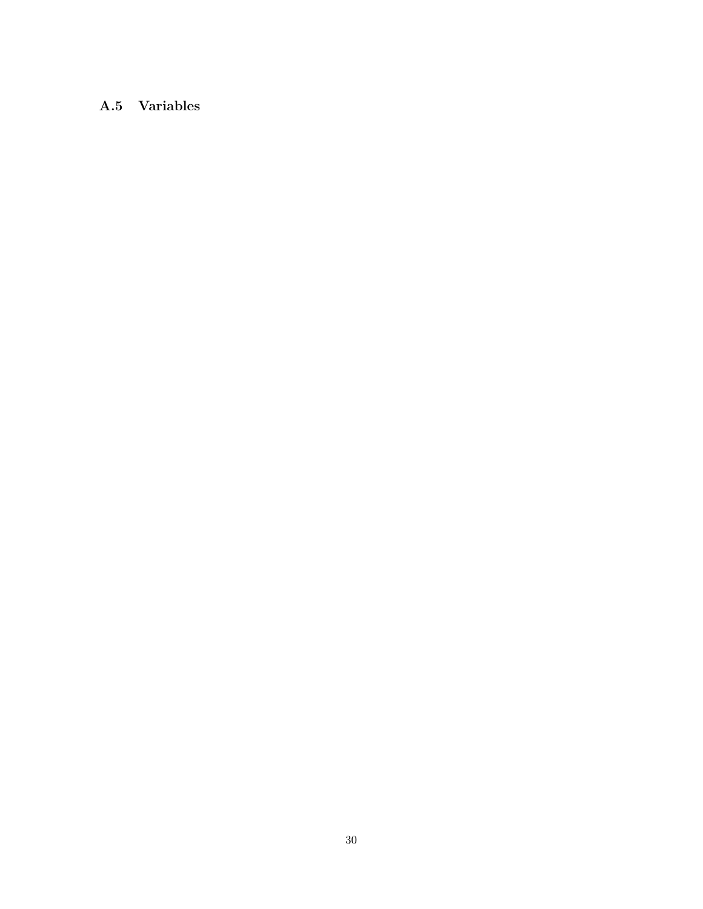## A.5 Variables